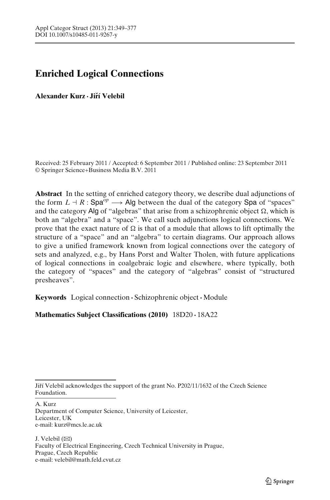# **Enriched Logical Connections**

**Alexander Kurz · Jirí Velebil ˇ**

Received: 25 February 2011 / Accepted: 6 September 2011 / Published online: 23 September 2011 © Springer Science+Business Media B.V. 2011

**Abstract** In the setting of enriched category theory, we describe dual adjunctions of the form  $L \dashv R$ : Spa<sup>op</sup>  $\longrightarrow$  Alg between the dual of the category Spa of "spaces" and the category Alg of "algebras" that arise from a schizophrenic object  $\Omega,$  which is both an "algebra" and a "space". We call such adjunctions logical connections. We prove that the exact nature of  $\Omega$  is that of a module that allows to lift optimally the structure of a "space" and an "algebra" to certain diagrams. Our approach allows to give a unified framework known from logical connections over the category of sets and analyzed, e.g., by Hans Porst and Walter Tholen, with future applications of logical connections in coalgebraic logic and elsewhere, where typically, both the category of "spaces" and the category of "algebras" consist of "structured presheaves".

**Keywords** Logical connection **·** Schizophrenic object**·** Module

**Mathematics Subject Classifications (2010)** 18D20 **·** 18A22

A. Kurz

J. Velebil  $(\boxtimes)$ Faculty of Electrical Engineering, Czech Technical University in Prague, Prague, Czech Republic e-mail: velebil@math.feld.cvut.cz

Jiří Velebil acknowledges the support of the grant No. P202/11/1632 of the Czech Science Foundation.

Department of Computer Science, University of Leicester, Leicester, UK e-mail: kurz@mcs.le.ac.uk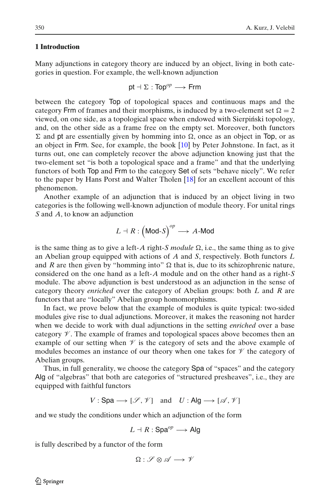## **1 Introduction**

Many adjunctions in category theory are induced by an object, living in both categories in question. For example, the well-known adjunction

$$
\mathsf{pt} \dashv \Sigma : \mathsf{Top}^\mathit{op} \longrightarrow \mathsf{Frm}
$$

between the category Top of topological spaces and continuous maps and the category Frm of frames and their morphisms, is induced by a two-element set  $\Omega = 2$ viewed, on one side, as a topological space when endowed with Sierpinski topology, ´ and, on the other side as a frame free on the empty set. Moreover, both functors  $\Sigma$  and pt are essentially given by homming into  $\Omega$ , once as an object in Top, or as an object in Frm. See, for example, the book [\[10](#page-28-0)] by Peter Johnstone. In fact, as it turns out, one can completely recover the above adjunction knowing just that the two-element set "is both a topological space and a frame" and that the underlying functors of both Top and Frm to the category Set of sets "behave nicely". We refer to the paper by Hans Porst and Walter Tholen [\[18\]](#page-28-0) for an excellent account of this phenomenon.

Another example of an adjunction that is induced by an object living in two categories is the following well-known adjunction of module theory. For unital rings *S* and *A*, to know an adjunction

$$
L \dashv R : (\mathsf{Mod} \textrm{-} S)^{op} \longrightarrow A\textrm{-}\mathsf{Mod}
$$

is the same thing as to give a left-A right-S module  $\Omega$ , i.e., the same thing as to give an Abelian group equipped with actions of *A* and *S*, respectively. Both functors *L* and *R* are then given by "homming into"  $\Omega$  that is, due to its schizophrenic nature, considered on the one hand as a left-*A* module and on the other hand as a right-*S* module. The above adjunction is best understood as an adjunction in the sense of category theory *enriched* over the category of Abelian groups: both *L* and *R* are functors that are "locally" Abelian group homomorphisms.

In fact, we prove below that the example of modules is quite typical: two-sided modules give rise to dual adjunctions. Moreover, it makes the reasoning not harder when we decide to work with dual adjunctions in the setting *enriched* over a base category  $\mathcal V$ . The example of frames and topological spaces above becomes then an example of our setting when  $\mathcal V$  is the category of sets and the above example of modules becomes an instance of our theory when one takes for  $\mathcal V$  the category of Abelian groups.

Thus, in full generality, we choose the category Spa of "spaces" and the category Alg of "algebras" that both are categories of "structured presheaves", i.e., they are equipped with faithful functors

 $V :$  Spa  $\longrightarrow$  [ $\mathscr{S}, \mathscr{V}$ ] and *U* : Alg  $\longrightarrow$  [ $\mathscr{A}, \mathscr{V}$ ]

and we study the conditions under which an adjunction of the form

$$
L \dashv R : \mathsf{Spa}^{op} \longrightarrow \mathsf{Alg}
$$

is fully described by a functor of the form

$$
\Omega: \mathscr{S} \otimes \mathscr{A} \longrightarrow \mathscr{V}
$$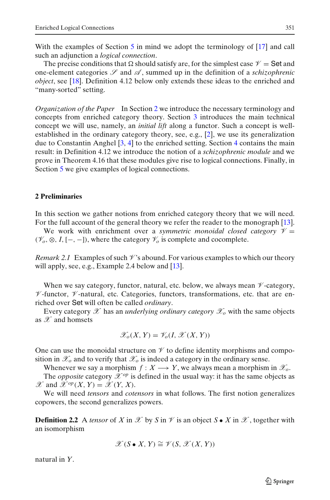With the examples of Section [5](#page-23-0) in mind we adopt the terminology of [\[17](#page-28-0)] and call such an adjunction a *logical connection*.

The precise conditions that  $\Omega$  should satisfy are, for the simplest case  $\mathcal{V} =$  Set and one-element categories  $\mathscr S$  and  $\mathscr A$ , summed up in the definition of a *schizophrenic object*, see [\[18](#page-28-0)]. Definition 4.12 below only extends these ideas to the enriched and "many-sorted" setting.

*Organization of the Paper* In Section 2 we introduce the necessary terminology and concepts from enriched category theory. Section [3](#page-6-0) introduces the main technical concept we will use, namely, an *initial lift* along a functor. Such a concept is wellestablished in the ordinary category theory, see, e.g., [\[2](#page-28-0)], we use its generalization due to Constantin Anghel [\[3](#page-28-0), [4\]](#page-28-0) to the enriched setting. Section [4](#page-12-0) contains the main result: in Definition 4.12 we introduce the notion of a *schizophrenic module* and we prove in Theorem 4.16 that these modules give rise to logical connections. Finally, in Section [5](#page-23-0) we give examples of logical connections.

## **2 Preliminaries**

In this section we gather notions from enriched category theory that we will need. For the full account of the general theory we refer the reader to the monograph [\[13](#page-28-0)].

We work with enrichment over a *symmetric monoidal closed category*  $V =$ ( $\mathcal{V}_o$ , ⊗, *I*, [-, -]), where the category  $\mathcal{V}_o$  is complete and cocomplete.

*Remark 2.1* Examples of such  $\mathcal V$ 's abound. For various examples to which our theory will apply, see, e.g., Example 2.4 below and  $[13]$  $[13]$ .

When we say category, functor, natural, etc. below, we always mean  $\mathcal V$ -category,  $\nu$ -functor,  $\nu$ -natural, etc. Categories, functors, transformations, etc. that are enriched over Set will often be called *ordinary*.

Every category  $\mathscr X$  has an *underlying ordinary category*  $\mathscr X_o$  with the same objects as  $\mathscr X$  and homsets

$$
\mathscr{X}_o(X,Y) = \mathscr{Y}_o(I, \mathscr{X}(X,Y))
$$

One can use the monoidal structure on  $\mathcal V$  to define identity morphisms and composition in  $\mathscr{X}_o$  and to verify that  $\mathscr{X}_o$  is indeed a category in the ordinary sense.

Whenever we say a morphism  $f: X \longrightarrow Y$ , we always mean a morphism in  $\mathscr{X}_o$ .

The *opposite* category  $\mathcal{X}^{op}$  is defined in the usual way: it has the same objects as  $\mathscr{X}$  and  $\mathscr{X}^{op}(X, Y) = \mathscr{X}(Y, X)$ .

We will need *tensors* and *cotensors* in what follows. The first notion generalizes copowers, the second generalizes powers.

**Definition 2.2** A *tensor* of *X* in  $\mathcal X$  by *S* in  $\mathcal Y$  is an object *S* • *X* in  $\mathcal X$ , together with an isomorphism

$$
\mathscr{X}(S \bullet X, Y) \cong \mathscr{V}(S, \mathscr{X}(X, Y))
$$

natural in *Y*.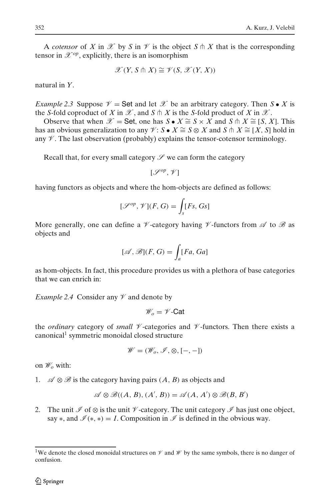A *cotensor* of *X* in  $\mathcal X$  by *S* in  $\mathcal Y$  is the object  $S \cap X$  that is the corresponding tensor in  $\mathscr{X}^{op}$ , explicitly, there is an isomorphism

$$
\mathscr{X}(Y, S \pitchfork X) \cong \mathscr{V}(S, \mathscr{X}(Y, X))
$$

natural in *Y*.

*Example 2.3* Suppose  $\mathcal{V} =$  Set and let  $\mathcal{X}$  be an arbitrary category. Then  $S \bullet X$  is the *S*-fold coproduct of *X* in  $\mathcal X$ , and *S*  $\pitchfork$  *X* is the *S*-fold product of *X* in  $\mathcal X$ .

Observe that when  $\mathcal{X} =$  Set, one has  $S \bullet X \cong S \times X$  and  $S \uparrow X \cong [S, X]$ . This has an obvious generalization to any  $\mathcal{V}: S \bullet X \cong S \otimes X$  and  $S \pitchfork X \cong [X, S]$  hold in any  $\mathscr V$ . The last observation (probably) explains the tensor-cotensor terminology.

Recall that, for every small category  $\mathscr S$  we can form the category

$$
[\mathcal{S}^{op},\mathcal{V}]
$$

having functors as objects and where the hom-objects are defined as follows:

$$
[\mathcal{S}^{op}, \mathcal{V}](F, G) = \int_{S} [Fs, Gs]
$$

More generally, one can define a  $\mathcal V$ -category having  $\mathcal V$ -functors from  $\mathcal A$  to  $\mathcal B$  as objects and

$$
[\mathscr{A}, \mathscr{B}](F, G) = \int_a [Fa, Ga]
$$

as hom-objects. In fact, this procedure provides us with a plethora of base categories that we can enrich in:

*Example 2.4* Consider any  $\mathcal V$  and denote by

$$
\mathscr{W}_o = \mathscr{V}\text{-Cat}
$$

the *ordinary* category of *small*  $\mathcal V$ -categories and  $\mathcal V$ -functors. Then there exists a canonical1 symmetric monoidal closed structure

$$
\mathscr{W}=(\mathscr{W}_o,\mathscr{I},\otimes,[-,-])
$$

on W*<sup>o</sup>* with:

1.  $\mathscr{A} \otimes \mathscr{B}$  is the category having pairs  $(A, B)$  as objects and

$$
\mathscr{A}\otimes\mathscr{B}((A,\,B),\, (A',\,B))=\mathscr{A}(A,\,A')\otimes\mathscr{B}(B,\,B')
$$

2. The unit  $\mathscr I$  of  $\otimes$  is the unit  $\mathscr V$ -category. The unit category  $\mathscr I$  has just one object, say  $\ast$ , and  $\mathcal{I}(\ast,\ast) = I$ . Composition in  $\mathcal{I}$  is defined in the obvious way.

<sup>&</sup>lt;sup>1</sup>We denote the closed monoidal structures on  $\mathcal V$  and  $\mathcal W$  by the same symbols, there is no danger of confusion.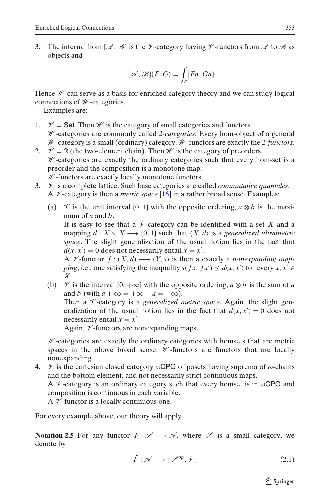3. The internal hom  $[\mathscr{A}, \mathscr{B}]$  is the  $\mathscr{V}$ -category having  $\mathscr{V}$ -functors from  $\mathscr{A}$  to  $\mathscr{B}$  as objects and

$$
[\mathcal{A}, \mathcal{B}](F, G) = \int_a [Fa, Ga]
$$

Hence  $\mathcal W$  can serve as a basis for enriched category theory and we can study logical connections of W -categories.

Examples are:

- 1.  $\mathcal{V} =$  Set. Then  $\mathcal{W}$  is the category of small categories and functors. W -categories are commonly called *2-categories*. Every hom-object of a general W -category is a small (ordinary) category. W -functors are exactly the *2-functors*.
- 2.  $\mathcal{V} = 2$  (the two-element chain). Then *W* is the category of preorders.  $W$ -categories are exactly the ordinary categories such that every hom-set is a preorder and the composition is a monotone map.  $W$ -functors are exactly locally monotone functors.
- 3.  $\mathcal V$  is a complete lattice. Such base categories are called *commutative quantales*. A  $\mathcal V$ -category is then a *metric space* [\[16](#page-28-0)] in a rather broad sense. Examples:
	- (a)  $\mathcal V$  is the unit interval [0, 1] with the opposite ordering,  $a \otimes b$  is the maximum of *a* and *b*.

It is easy to see that a  $\mathcal V$ -category can be identified with a set X and a mapping  $d: X \times X \longrightarrow [0, 1]$  such that  $\langle X, d \rangle$  is a *generalized ultrametric space*. The slight generalization of the usual notion lies in the fact that  $d(x, x') = 0$  does not necessarily entail  $x = x'$ .

A  $\mathcal V$ -functor  $f: (X, d) \longrightarrow (Y, s)$  is then a exactly a *nonexpanding mapping*, i.e., one satisfying the inequality *s*( $fx$ ,  $fx'$ )  $\leq d(x, x')$  for every *x*,  $x' \in$ *X*.

(b)  $\mathcal V$  is the interval  $[0, +\infty]$  with the opposite ordering,  $a \otimes b$  is the sum of *a* and *b* (with  $a + \infty = +\infty + a = +\infty$ ). Then a *V*-category is a *generalized metric space*. Again, the slight generalization of the usual notion lies in the fact that  $d(x, x') = 0$  does not necessarily entail  $x = x'$ .

Again,  $\nu$ -functors are nonexpanding maps.

W -categories are exactly the ordinary categories with homsets that are metric spaces in the above broad sense.  $W$ -functors are functors that are locally nonexpanding.

4.  $\mathcal V$  is the cartesian closed category  $\omega$ CPO of posets having suprema of  $\omega$ -chains and the bottom element, and not necessarily strict continuous maps.

A  $\mathcal V$ -category is an ordinary category such that every homset is in  $\omega$ CPO and composition is continuous in each variable.

A  $\not\!\!\!\!\!\!/\,\,$  -functor is a locally continuous one.

For every example above, our theory will apply.

**Notation 2.5** For any functor  $F: S \rightarrow \mathcal{A}$ , where S is a small category, we denote by

$$
\widetilde{F}: \mathscr{A} \longrightarrow [\mathscr{S}^{op}, \mathscr{V}]
$$
\n
$$
(2.1)
$$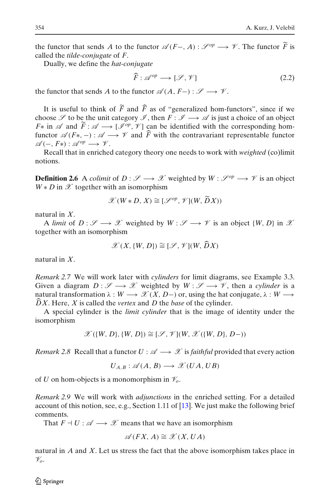the functor that sends *A* to the functor  $\mathcal{A}(F-, A) : \mathcal{S}^{op} \longrightarrow \mathcal{V}$ . The functor  $\tilde{F}$  is called the *tilde conjugate* of *F*. called the *tilde-conjugate* of *F*.

Dually, we define the *hat-conjugate*

$$
\widehat{F}: \mathscr{A}^{op} \longrightarrow [\mathscr{S}, \mathscr{V}] \tag{2.2}
$$

the functor that sends *A* to the functor  $\mathscr{A}(A, F-) : \mathscr{S} \longrightarrow \mathscr{V}$ .

It is useful to think of *F* and *F* as of "generalized hom-functors", since if we choose  $\mathscr S$  to be the unit category  $\mathscr I$ , then  $F : \mathscr I \longrightarrow \mathscr A$  is just a choice of an object  $F^*$  in  $\mathscr A$  and  $F: \mathscr A \longrightarrow [\mathscr I^{op}, \mathscr V]$  can be identified with the corresponding hom-<br>functor  $\mathscr A(F_{\mathscr V}, \mathscr V)$  and  $\widehat F$  with the controverient representable functor functor  $\mathscr{A}(F^*,-) : \mathscr{A} \longrightarrow \mathscr{V}$  and *F* with the contravariant representable functor  $\mathscr{A}(-, F*) : \mathscr{A}^{op} \longrightarrow \mathscr{V}.$ 

Recall that in enriched category theory one needs to work with *weighted* (co)limit notions.

**Definition 2.6** A *colimit* of  $D: \mathcal{S} \longrightarrow \mathcal{X}$  weighted by  $W: \mathcal{S}^{op} \longrightarrow \mathcal{V}$  is an object  $W * D$  in  $X$  together with an isomorphism

$$
\mathscr{X}(W * D, X) \cong [\mathscr{S}^{op}, \mathscr{V}](W, \widetilde{D}X))
$$

natural in *X*.

A *limit* of  $D: \mathscr{S} \longrightarrow \mathscr{X}$  weighted by  $W: \mathscr{S} \longrightarrow \mathscr{V}$  is an object  $\{W, D\}$  in  $\mathscr{X}$ together with an isomorphism

$$
\mathscr{X}(X,\{W,D\}) \cong [\mathscr{S},\mathscr{V}](W,\widehat{D}X)
$$

natural in *X*.

*Remark 2.7* We will work later with *cylinders* for limit diagrams, see Example 3.3. Given a diagram  $D : \mathscr{S} \longrightarrow \mathscr{X}$  weighted by  $W : \mathscr{S} \longrightarrow \mathscr{V}$ , then a *cylinder* is a natural transformation  $\lambda : W \longrightarrow \mathscr{X}(X, D-)$  or, using the hat conjugate,  $\lambda : W \longrightarrow$  $\widehat{D}X$ . Here, X is called the *vertex* and D the *base* of the cylinder.

A special cylinder is the *limit cylinder* that is the image of identity under the isomorphism

$$
\mathscr{X}(\{W,D\}, \{W,D\}) \cong [\mathscr{S}, \mathscr{V}](W, \mathscr{X}(\{W,D\}, D-))
$$

*Remark 2.8* Recall that a functor  $U : \mathcal{A} \longrightarrow \mathcal{X}$  is *faithful* provided that every action

$$
U_{A,B}: \mathscr{A}(A,B) \longrightarrow \mathscr{X}(UA,UB)
$$

of *U* on hom-objects is a monomorphism in  $\mathcal{V}_o$ .

*Remark 2.9* We will work with *adjunctions* in the enriched setting. For a detailed account of this notion, see, e.g., Section 1.11 of [\[13](#page-28-0)]. We just make the following brief comments.

That  $F \dashv U : \mathscr{A} \longrightarrow \mathscr{X}$  means that we have an isomorphism

$$
\mathscr{A}(FX, A) \cong \mathscr{X}(X, UA)
$$

natural in *A* and *X*. Let us stress the fact that the above isomorphism takes place in V*o*.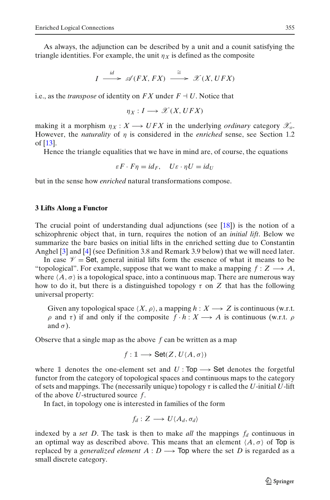<span id="page-6-0"></span>As always, the adjunction can be described by a unit and a counit satisfying the triangle identities. For example, the unit  $\eta_X$  is defined as the composite

$$
I \xrightarrow{id} \mathscr{A}(FX, FX) \xrightarrow{\cong} \mathscr{X}(X,UFX)
$$

i.e., as the *transpose* of identity on  $FX$  under  $F \dashv U$ . Notice that

$$
\eta_X: I \longrightarrow \mathscr{X}(X,UFX)
$$

making it a morphism  $\eta_X : X \longrightarrow UFX$  in the underlying *ordinary* category  $\mathscr{X}_o$ . However, the *naturality* of η is considered in the *enriched* sense, see Section 1.2 of [\[13](#page-28-0)].

Hence the triangle equalities that we have in mind are, of course, the equations

$$
\varepsilon F \cdot F \eta = id_F, \quad U\varepsilon \cdot \eta U = id_U
$$

but in the sense how *enriched* natural transformations compose.

## **3 Lifts Along a Functor**

The crucial point of understanding dual adjunctions (see [\[18](#page-28-0)]) is the notion of a schizophrenic object that, in turn, requires the notion of an *initial lift*. Below we summarize the bare basics on initial lifts in the enriched setting due to Constantin Anghel [\[3\]](#page-28-0) and [\[4](#page-28-0)] (see Definition 3.8 and Remark 3.9 below) that we will need later.

In case  $\mathscr{V} =$  Set, general initial lifts form the essence of what it means to be "topological". For example, suppose that we want to make a mapping  $f: Z \longrightarrow A$ , where  $\langle A, \sigma \rangle$  is a topological space, into a continuous map. There are numerous way how to do it, but there is a distinguished topology  $\tau$  on Z that has the following universal property:

Given any topological space  $\langle X, \rho \rangle$ , a mapping  $h : X \longrightarrow Z$  is continuous (w.r.t.  $ρ$  and τ) if and only if the composite  $f ⋅ h : X → A$  is continuous (w.r.t.  $ρ$ and  $\sigma$ ).

Observe that a single map as the above *f* can be written as a map

$$
f: \mathbb{1} \longrightarrow \mathsf{Set}(Z, U\langle A, \sigma \rangle)
$$

where  $\mathbb{I}$  denotes the one-element set and *U* : Top  $\longrightarrow$  Set denotes the forgetful functor from the category of topological spaces and continuous maps to the category of sets and mappings. The (necessarily unique) topology  $\tau$  is called the *U*-initial *U*-lift of the above *U*-structured source *f*.

In fact, in topology one is interested in families of the form

$$
f_d: Z \longrightarrow U\langle A_d, \sigma_d \rangle
$$

indexed by a *set D*. The task is then to make *all* the mappings  $f_d$  continuous in an optimal way as described above. This means that an element  $\langle A, \sigma \rangle$  of Top is replaced by a *generalized element*  $A: D \longrightarrow$  Top where the set D is regarded as a small discrete category.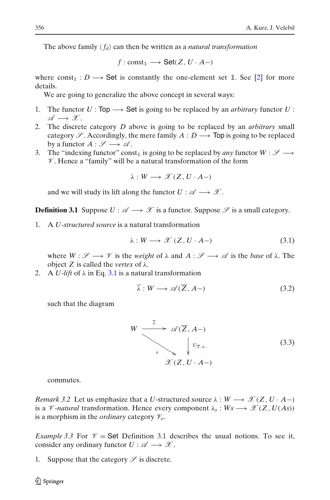<span id="page-7-0"></span>The above family  $\langle f_d \rangle$  can then be written as a *natural transformation* 

 $f:$  const<sub>1</sub>  $\longrightarrow$  Set(*Z*, *U* · *A*-)

where  $\text{const}_1 : D \longrightarrow \text{Set}$  is constantly the one-element set 1. See [\[2\]](#page-28-0) for more details.

We are going to generalize the above concept in several ways:

- 1. The functor  $U: Top \longrightarrow Set$  is going to be replaced by an *arbitrary* functor  $U$ :  $\mathscr{A} \longrightarrow \mathscr{X}.$
- 2. The discrete category *D* above is going to be replaced by an *arbitrary* small category  $\mathscr S$ . Accordingly, the mere family  $A: D \longrightarrow$  Top is going to be replaced by a functor  $A : \mathscr{S} \longrightarrow \mathscr{A}$ .
- 3. The "indexing functor" const<sub>1</sub> is going to be replaced by *any* functor  $W : \mathscr{S} \longrightarrow$  $\mathscr V$ . Hence a "family" will be a natural transformation of the form

 $\lambda: W \longrightarrow \mathscr{X}(Z, U \cdot A-)$ 

and we will study its lift along the functor  $U : \mathscr{A} \longrightarrow \mathscr{X}$ .

**Definition 3.1** Suppose  $U : \mathcal{A} \longrightarrow \mathcal{X}$  is a functor. Suppose  $\mathcal{S}$  is a small category.

1. A *U-structured source* is a natural transformation

$$
\lambda: W \longrightarrow \mathcal{X}(Z, U \cdot A -)
$$
\n(3.1)

where  $W : \mathscr{S} \longrightarrow \mathscr{V}$  is the *weight* of  $\lambda$  and  $A : \mathscr{S} \longrightarrow \mathscr{A}$  is the *base* of  $\lambda$ . The object *Z* is called the *vertex* of λ.

2. A *U-lift* of  $\lambda$  in Eq. 3.1 is a natural transformation

$$
\overline{\lambda}: W \longrightarrow \mathscr{A}(\overline{Z}, A-)
$$
\n(3.2)

such that the diagram

$$
W \xrightarrow{\overline{\lambda}} \mathscr{A}(\overline{Z}, A-)
$$
\n
$$
\downarrow \qquad \qquad U_{\overline{Z}, A-}
$$
\n
$$
\mathscr{X}(Z, U \cdot A-) \tag{3.3}
$$

commutes.

*Remark 3.2* Let us emphasize that a *U*-structured source  $\lambda : W \longrightarrow \mathcal{X}(Z, U \cdot A-)$ is a  $\mathcal V$ *-natural* transformation. Hence every component  $\lambda_s : W_s \longrightarrow \mathcal X(Z, U(As))$ is a morphism in the *ordinary* category  $\mathcal{V}_o$ .

*Example 3.3* For  $\mathcal{V} =$  Set Definition 3.1 describes the usual notions. To see it, consider any ordinary functor  $U : \mathscr{A} \longrightarrow \mathscr{X}$ .

1. Suppose that the category  $\mathscr S$  is discrete.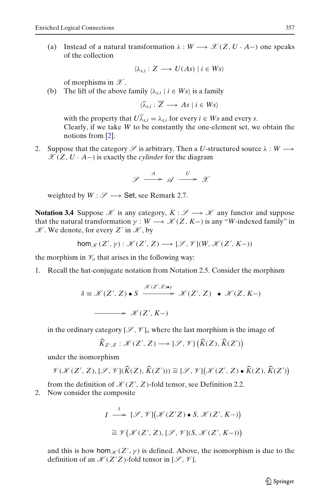(a) Instead of a natural transformation  $\lambda : W \longrightarrow \mathcal{X}(Z, U \cdot A-)$  one speaks of the collection

$$
\langle \lambda_{s,i} : Z \longrightarrow U(As) \mid i \in Ws \rangle
$$

of morphisms in  $\mathscr X$ .

(b) The lift of the above family  $\langle \lambda_{s,i} | i \in W_s \rangle$  is a family

 $\langle \overline{\lambda}_s : \overline{Z} \longrightarrow As \mid i \in Ws \rangle$ 

with the property that  $U\overline{\lambda}_{s,i} = \lambda_{s,i}$  for every  $i \in Ws$  and every *s*. Clearly, if we take *W* to be constantly the one-element set, we obtain the notions from [\[2](#page-28-0)].

2. Suppose that the category  $\mathscr S$  is arbitrary. Then a *U*-structured source  $\lambda : W \longrightarrow$  $\mathscr{X}(Z, U \cdot A-)$  is exactly the *cylinder* for the diagram

> $\mathscr{S} \stackrel{A}{\longrightarrow} \mathscr{A} \stackrel{U}{\longrightarrow} \mathscr{X}$ --

weighted by  $W : \mathscr{S} \longrightarrow$  Set, see Remark 2.7.

**Notation 3.4** Suppose  $\mathcal{K}$  is any category,  $K : \mathcal{S} \longrightarrow \mathcal{K}$  any functor and suppose that the natural transformation  $\gamma : W \longrightarrow \mathcal{K}(Z, K-)$  is any "*W*-indexed family" in  $\mathscr K$ . We denote, for every Z' in  $\mathscr K$ , by

$$
\mathsf{hom}_\mathscr{K}(Z',\gamma):\mathscr{K}(Z',Z)\longrightarrow [\mathscr{S},\mathscr{V}](W,\mathscr{K}(Z',K-))
$$

the morphism in  $\mathcal{V}_o$  that arises in the following way:

1. Recall the hat-conjugate notation from Notation 2.5. Consider the morphism

$$
\delta \equiv \mathcal{K}(Z', Z) \bullet S \xrightarrow{\mathcal{K}(Z', Z) \bullet \gamma} \mathcal{K}(Z', Z) \bullet \mathcal{K}(Z, K-)
$$
  

$$
\longrightarrow \mathcal{K}(Z', K-)
$$

in the ordinary category  $[\mathcal{S}, \mathcal{V}]_o$  where the last morphism is the image of

$$
\widehat{K}_{Z',Z}: \mathscr{K}(Z',Z) \longrightarrow [\mathscr{S}, \mathscr{V}]\big(\widehat{K}(Z), \widehat{K}(Z')\big)
$$

under the isomorphism

$$
\mathcal{V}(\mathcal{K}(Z',Z),[\mathcal{S},\mathcal{V}](\widehat{K}(Z),\widehat{K}(Z')))\cong[\mathcal{S},\mathcal{V}](\mathcal{K}(Z',Z)\bullet\widehat{K}(Z),\widehat{K}(Z'))
$$

from the definition of  $\mathcal{K}(Z', Z)$ -fold tensor, see Definition 2.2.

2. Now consider the composite

$$
I \stackrel{\delta}{\longrightarrow} [\mathcal{S}, \mathcal{V}](\mathcal{K}(Z'Z) \bullet S, \mathcal{K}(Z', K-))
$$
  

$$
\cong \mathcal{V}(\mathcal{K}(Z', Z), [\mathcal{S}, \mathcal{V}](S, \mathcal{K}(Z', K-)))
$$

and this is how hom  $\chi(Z', \gamma)$  is defined. Above, the isomorphism is due to the definition of an  $\mathcal{K}(Z^{\prime}Z)$ -fold tensor in  $[\mathcal{S}, \mathcal{V}]$ .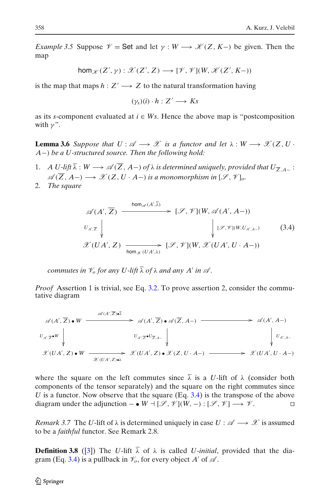<span id="page-9-0"></span>*Example 3.5* Suppose  $\mathcal{V} =$  Set and let  $\gamma : W \longrightarrow \mathcal{K}(Z, K-)$  be given. Then the map

$$
\text{hom}_{\mathscr{K}}(Z',\gamma):\mathscr{X}(Z',Z)\longrightarrow[\mathscr{V},\mathscr{V}](W,\mathscr{K}(Z',K-))
$$

is the map that maps  $h: Z' \longrightarrow Z$  to the natural transformation having

 $(\gamma_s)(i) \cdot h : Z' \longrightarrow Ks$ 

as its *s*-component evaluated at  $i \in Ws$ . Hence the above map is "postcomposition" with  $\nu$ ".

**Lemma 3.6** *Suppose that*  $U : \mathcal{A} \longrightarrow \mathcal{X}$  *is a functor and let*  $\lambda : W \longrightarrow \mathcal{X}(Z, U \cdot W)$ *A*−) *be a U-structured source. Then the following hold:*

- 1. *A U-lift*  $\overline{\lambda}: W \longrightarrow \mathscr{A}(\overline{Z}, A-)$  *of*  $\lambda$  *is determined uniquely, provided that*  $U_{\overline{Z}, A-}$ :  $\mathscr{A}(\overline{Z}, A-) \longrightarrow \mathscr{X}(Z, U \cdot A-)$  *is a monomorphism in*  $[\mathscr{S}, \mathscr{V}]_o$ .
- 2. *The square*

$$
\mathscr{A}(A', \overline{Z}) \xrightarrow{\text{hom}_{\mathscr{A}}(A', \overline{\lambda})} [\mathscr{S}, \mathscr{V}](W, \mathscr{A}(A', A-))
$$
\n
$$
U_{A', \overline{Z}} \downarrow \qquad \qquad \downarrow (\mathscr{S}, \mathscr{V}](W, U_{A', A-}) \qquad (3.4)
$$
\n
$$
\mathscr{X}(UA', Z) \xrightarrow{\text{hom}_{\mathscr{X}}(UA', \lambda)} [\mathscr{S}, \mathscr{V}](W, \mathscr{X}(UA', U \cdot A-))
$$

*commutes in*  $\mathcal{V}_o$  *for any U-lift*  $\overline{\lambda}$  *of*  $\lambda$  *and any A' in*  $\mathcal{A}$ *.* 

*Proof* Assertion 1 is trivial, see Eq. [3.2.](#page-7-0) To prove assertion 2, consider the commutative diagram

$$
\mathscr{A}(A',\overline{Z}) \bullet W \xrightarrow{\mathscr{A}(A',\overline{Z}) \bullet \overline{\lambda}} \mathscr{A}(A',\overline{Z}) \bullet \mathscr{A}(\overline{Z},A-) \xrightarrow{\qquad \qquad \mathscr{A}(A',A-)
$$
\n
$$
U_{A',\overline{Z}} \bullet U_{\overline{Z},A-} \qquad \qquad \downarrow \qquad \qquad \downarrow \qquad \qquad \downarrow \qquad \qquad \downarrow
$$
\n
$$
\mathscr{X}(UA',Z) \bullet W \xrightarrow{\qquad \qquad \mathscr{X}(UA',Z) \bullet \overline{\lambda}} \mathscr{X}(UA',Z) \bullet \mathscr{X}(Z,U \cdot A-) \xrightarrow{\qquad \qquad \mathscr{X}(UA',U \cdot A-)
$$

where the square on the left commutes since  $\overline{\lambda}$  is a *U*-lift of  $\lambda$  (consider both components of the tensor separately) and the square on the right commutes since *U* is a functor. Now observe that the square (Eq. 3.4) is the transpose of the above diagram under the adjunction – •  $W \dashv [\mathscr{S}, \mathscr{V}](W, -) : [\mathscr{S}, \mathscr{V}] \longrightarrow \mathscr{V}$ .

*Remark 3.7* The *U*-lift of  $\lambda$  is determined uniquely in case  $U : \mathcal{A} \longrightarrow \mathcal{X}$  is assumed to be a *faithful* functor. See Remark 2.8.

**Definition 3.8** ([\[3](#page-28-0)]) The *U*-lift  $\overline{\lambda}$  of  $\lambda$  is called *U-initial*, provided that the diagram (Eq. 3.4) is a pullback in  $\mathcal{V}_o$ , for every object *A'* of  $\mathcal{A}$ .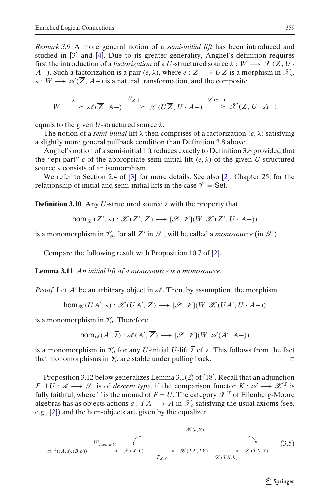<span id="page-10-0"></span>*Remark 3.9* A more general notion of a *semi-initial lift* has been introduced and studied in [\[3\]](#page-28-0) and [\[4](#page-28-0)]. Due to its greater generality, Anghel's definition requires first the introduction of a *factorization* of a *U*-structured source  $\lambda : W \longrightarrow \mathscr{X}(Z, U)$ *A*−). Such a factorization is a pair  $(e, \overline{\lambda})$ , where  $e: Z \longrightarrow U\overline{Z}$  is a morphism in  $\mathscr{X}_o$ ,  $\overline{\lambda}: W \longrightarrow \mathscr{A}(\overline{Z}, A-)$  is a natural transformation, and the composite

$$
W \stackrel{\overline{\lambda}}{\longrightarrow} \mathscr{A}(\overline{Z}, A-) \stackrel{U_{\overline{Z}, A-}}{\longrightarrow} \mathscr{X}(U\overline{Z}, U \cdot A-) \stackrel{\mathscr{X}(e,-)}{\longrightarrow} \mathscr{X}(Z, U \cdot A-)
$$

equals to the given *U*-structured source  $\lambda$ .

The notion of a *semi-initial* lift  $\lambda$  then comprises of a factorization (*e*,  $\overline{\lambda}$ ) satisfying a slightly more general pullback condition than Definition 3.8 above.

Anghel's notion of a semi-initial lift reduces exactly to Definition 3.8 provided that the "epi-part" *e* of the appropriate semi-initial lift  $(e, \overline{\lambda})$  of the given *U*-structured source  $\lambda$  consists of an isomorphism.

We refer to Section 2.4 of [\[3\]](#page-28-0) for more details. See also [\[2](#page-28-0)], Chapter 25, for the relationship of initial and semi-initial lifts in the case  $\mathcal{V} =$  Set.

**Definition 3.10** Any *U*-structured source λ with the property that

$$
\text{hom}_{\mathscr{X}}(Z',\lambda):\mathscr{X}(Z',Z)\longrightarrow [\mathscr{S},\mathscr{V}](W,\mathscr{X}(Z',U\cdot A-))
$$

is a monomorphism in  $\mathcal{V}_o$ , for all Z' in  $\mathcal{X}$ , will be called a *monosource* (in  $\mathcal{X}$ ).

Compare the following result with Proposition 10.7 of [\[2\]](#page-28-0).

**Lemma 3.11** *An initial lift of a monosource is a monosource.*

*Proof* Let *A'* be an arbitrary object in  $\mathscr A$ . Then, by assumption, the morphism

$$
\hom_{\mathscr{X}}(UA',\lambda): \mathscr{X}(UA',Z) \longrightarrow [\mathscr{S},\mathscr{V}](W,\mathscr{X}(UA',U\cdot A-))
$$

is a monomorphism in  $\mathcal{V}_o$ . Therefore

$$
\mathsf{hom}_{\mathscr{A}}(A',\overline{\lambda}): \mathscr{A}(A',\overline{Z}) \longrightarrow [\mathscr{S},\mathscr{V}](W,\mathscr{A}(A',A-))
$$

is a monomorphism in  $\mathcal{V}_o$  for any *U*-initial *U*-lift  $\overline{\lambda}$  of  $\lambda$ . This follows from the fact that monomorphisms in  $\mathcal{V}_o$  are stable under pulling back.

Proposition 3.12 below generalizes Lemma 3.1(2) of [\[18](#page-28-0)]. Recall that an adjunction  $F \dashv U : \mathscr{A} \longrightarrow \mathscr{X}$  is of *descent type*, if the comparison functor  $K : \mathscr{A} \longrightarrow \mathscr{X}^T$  is fully faithful, where  $\mathbb T$  is the monad of  $F \dashv U$ . The category  $\mathscr X^{\mathbb T}$  of Eilenberg-Moore algebras has as objects actions  $a: TA \longrightarrow A$  in  $\mathcal{X}_o$  satisfying the usual axioms (see, e.g., [\[2\]](#page-28-0)) and the hom-objects are given by the equalizer

$$
\mathscr{X}(a,Y)
$$
\n
$$
\mathscr{X}^{\mathbb{T}}((A,a),(B,b)) \xrightarrow{U^{\mathbb{T}}_{(A,a),(B,b)}} \mathscr{X}(X,Y) \xrightarrow{T_{X,Y}} \mathscr{X}(TX,TY) \xrightarrow{\mathscr{X}(TX,Y)} \mathscr{X}(TX,Y)
$$
\n
$$
(3.5)
$$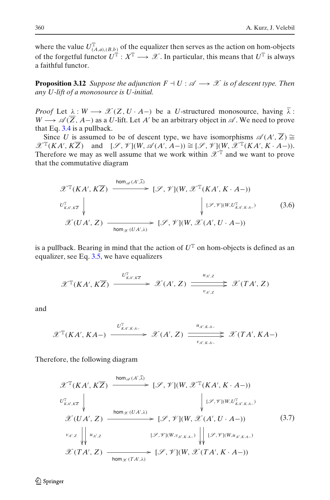<span id="page-11-0"></span>where the value  $U_{(A,a),(B,b)}^{\mathbb{T}}$  of the equalizer then serves as the action on hom-objects of the forgetful functor  $U^T : X^T \longrightarrow \mathcal{X}$ . In particular, this means that  $U^T$  is always a faithful functor.

**Proposition 3.12** *Suppose the adjunction*  $F \dashv U : \mathscr{A} \longrightarrow \mathscr{X}$  is of descent type. Then *any U-lift of a monosource is U-initial.*

*Proof* Let  $\lambda : W \longrightarrow \mathscr{X}(Z, U \cdot A-)$  be a *U*-structured monosource, having  $\overline{\lambda}$ :  $W \longrightarrow \mathscr{A}(\overline{Z}, A-)$  as a *U*-lift. Let *A'* be an arbitrary object in  $\mathscr{A}$ . We need to prove that Eq.  $3.4$  is a pullback.

Since *U* is assumed to be of descent type, we have isomorphisms  $\mathscr{A}(A', \overline{Z}) \cong$  $\mathscr{X}^{\mathbb{T}}(KA', K\overline{Z})$  and  $[\mathscr{S}, \mathscr{V}](W, \mathscr{A}(A', A-)) \cong [\mathscr{S}, \mathscr{V}](W, \mathscr{X}^{\mathbb{T}}(KA', K \cdot A-)).$ Therefore we may as well assume that we work within  $\mathscr{X}^{\mathbb{T}}$  and we want to prove that the commutative diagram

$$
\mathscr{X}^{\mathbb{T}}(KA', K\overline{Z}) \xrightarrow{\text{hom}_{\mathscr{A}}(A',\overline{\lambda})} [\mathscr{S}, \mathscr{V}](W, \mathscr{X}^{\mathbb{T}}(KA', K \cdot A-))
$$
\n
$$
\downarrow \qquad \qquad \downarrow \qquad \qquad [\mathscr{S}, \mathscr{V}](W, \mathscr{X}^{\mathbb{T}}(KA', K \cdot A-))
$$
\n
$$
\mathscr{X}(UA', Z) \xrightarrow{\text{hom}_{\mathscr{X}}(UA',\lambda)} [\mathscr{S}, \mathscr{V}](W, \mathscr{X}(A', U \cdot A-))
$$
\n(3.6)

is a pullback. Bearing in mind that the action of  $U^T$  on hom-objects is defined as an equalizer, see Eq. [3.5,](#page-10-0) we have equalizers

$$
\mathscr{X}^{\mathbb{T}}(KA', K\overline{Z}) \xrightarrow{U^{\mathbb{T}}_{KA', K\overline{Z}}} \mathscr{X}(A', Z) \xrightarrow{u_{A', Z}} \mathscr{X}(TA', Z)
$$

and

$$
\mathscr{X}^{\mathbb{T}}(KA',KA-) \xrightarrow{U^{\mathbb{T}}_{KA',K:A-}} \mathscr{X}(A',Z) \xrightarrow{u_{A',K:A-}} \mathscr{X}(TA',KA-)
$$

Therefore, the following diagram

$$
\mathscr{X}^{\mathbb{T}}(KA', K\overline{Z}) \xrightarrow{\text{hom}_{\mathscr{A}}(A',\overline{\lambda})} [\mathscr{S}, \mathscr{V}](W, \mathscr{X}^{\mathbb{T}}(KA', K \cdot A-))
$$
\n
$$
\downarrow \qquad \qquad [\mathscr{S}, \mathscr{V}](W, \mathscr{X}^{\mathbb{T}}(KA', K \cdot A-))
$$
\n
$$
\mathscr{X}(UA', Z) \xrightarrow{\text{hom}_{\mathscr{X}}(UA',\lambda)} [\mathscr{S}, \mathscr{V}](W, \mathscr{X}(A', U \cdot A-))
$$
\n
$$
\downarrow \qquad [\mathscr{S}, \mathscr{V}](W, \mathscr{X}(A', U \cdot A-))
$$
\n
$$
\mathscr{X}(TA', Z) \xrightarrow{\text{hom}_{\mathscr{X}}(TA',\lambda)} [\mathscr{S}, \mathscr{V}](W, \mathscr{X}(TA', K \cdot A-))
$$
\n
$$
\mathscr{X}(TA', Z) \xrightarrow{\text{hom}_{\mathscr{X}}(TA',\lambda)} [\mathscr{S}, \mathscr{V}](W, \mathscr{X}(TA', K \cdot A-))
$$
\n
$$
(3.7)
$$

 $\mathcal{D}$  Springer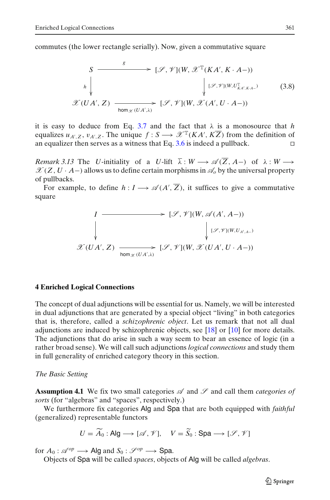<span id="page-12-0"></span>commutes (the lower rectangle serially). Now, given a commutative square

$$
S \longrightarrow \mathcal{G} \longrightarrow [\mathcal{S}, \mathcal{V}](W, \mathcal{X}^{\mathbb{T}}(KA', K \cdot A-))
$$
\n
$$
\downarrow \qquad \qquad \downarrow \qquad \qquad [\mathcal{S}, \mathcal{V}](W, U_{KA',KA-}^{\mathbb{T}}) \qquad (3.8)
$$
\n
$$
\mathcal{X}(UA', Z) \longrightarrow \text{hom}_{\mathcal{X}}(UA', \lambda) \qquad [\mathcal{S}, \mathcal{V}](W, \mathcal{X}(A', U \cdot A-))
$$

it is easy to deduce from Eq. [3.7](#page-11-0) and the fact that  $\lambda$  is a monosource that *h* equalizes  $u_{A',Z}$ ,  $v_{A',Z}$ . The unique  $f: S \longrightarrow \mathscr{X}^{\mathbb{T}}(KA', K\overline{Z})$  from the definition of an equalizer then serves as a witness that Eq. [3.6](#page-11-0) is indeed a pullback.  $\Box$ 

*Remark 3.13* The *U*-initiality of a *U*-lift  $\overline{\lambda}: W \longrightarrow \mathcal{A}(\overline{Z}, A-)$  of  $\lambda: W \longrightarrow$  $\mathscr{X}(Z, U \cdot A-)$  allows us to define certain morphisms in  $\mathscr{A}_o$  by the universal property of pullbacks.

For example, to define  $h: I \longrightarrow \mathscr{A}(A', \overline{Z})$ , it suffices to give a commutative square

$$
I \longrightarrow [\mathcal{S}, \mathcal{V}](W, \mathcal{A}(A', A-))
$$
  
\n
$$
\downarrow \qquad \qquad [\mathcal{S}, \mathcal{V}](W, \mathcal{A}(A', A-))
$$
  
\n
$$
\mathcal{X}(UA', Z) \longrightarrow \text{hom}_{\mathcal{X}}(UA', \mathcal{V}) [\mathcal{S}, \mathcal{V}](W, \mathcal{X}(UA', U \cdot A-))
$$

#### **4 Enriched Logical Connections**

The concept of dual adjunctions will be essential for us. Namely, we will be interested in dual adjunctions that are generated by a special object "living" in both categories that is, therefore, called a *schizophrenic object*. Let us remark that not all dual adjunctions are induced by schizophrenic objects, see [\[18\]](#page-28-0) or [\[10\]](#page-28-0) for more details. The adjunctions that do arise in such a way seem to bear an essence of logic (in a rather broad sense). We will call such adjunctions *logical connections* and study them in full generality of enriched category theory in this section.

#### *The Basic Setting*

**Assumption 4.1** We fix two small categories  $\mathscr A$  and  $\mathscr S$  and call them *categories of sorts* (for "algebras" and "spaces", respectively.)

We furthermore fix categories Alg and Spa that are both equipped with *faithful* (generalized) representable functors

$$
U = \widetilde{A}_0 : \text{Alg} \longrightarrow [\mathscr{A}, \mathscr{V}], \quad V = \widetilde{S}_0 : \text{Spa} \longrightarrow [\mathscr{S}, \mathscr{V}]
$$

for  $A_0: \mathcal{A}^{op} \longrightarrow$  Alg and  $S_0: \mathcal{S}^{op} \longrightarrow$  Spa.

Objects of Spa will be called *spaces*, objects of Alg will be called *algebras*.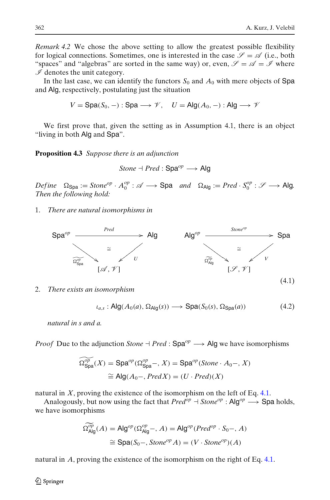<span id="page-13-0"></span>*Remark 4.2* We chose the above setting to allow the greatest possible flexibility for logical connections. Sometimes, one is interested in the case  $\mathscr{S} = \mathscr{A}$  (i.e., both "spaces" and "algebras" are sorted in the same way) or, even,  $\mathscr{S} = \mathscr{A} = \mathscr{I}$  where  $I$  denotes the unit category.

In the last case, we can identify the functors  $S_0$  and  $A_0$  with mere objects of Spa and Alg, respectively, postulating just the situation

$$
V = \text{Spa}(S_0, -) : \text{Spa} \longrightarrow \mathscr{V}, \quad U = \text{Alg}(A_0, -) : \text{Alg} \longrightarrow \mathscr{V}
$$

We first prove that, given the setting as in Assumption 4.1, there is an object "living in both Alg and Spa".

**Proposition 4.3** *Suppose there is an adjunction*

*Stone* - *Pred* : Spa*op* −→ Alg

 $Define \quad \Omega_{\text{Spa}} := Stone^{op} \cdot A_0^{op} : \mathscr{A} \longrightarrow \text{Spa} \quad and \quad \Omega_{\text{Alg}} := Pred \cdot S_0^{op} : \mathscr{S} \longrightarrow \text{Alg}.$ *Then the following hold:*

1. *There are natural isomorphisms in*



2. *There exists an isomorphism*

$$
\iota_{a,s}: \mathsf{Alg}(A_0(a), \Omega_{\mathsf{Alg}}(s)) \longrightarrow \mathsf{Spa}(S_0(s), \Omega_{\mathsf{Spa}}(a)) \tag{4.2}
$$

*natural in s and a.*

*Proof* Due to the adjunction *Stone*  $\rightarrow$  *Pred* : Spa<sup>op</sup>  $\rightarrow$  Alg we have isomorphisms

$$
\begin{aligned} \widetilde{\Omega_{\text{Spa}}^{op}}(X) &= \text{Spa}^{op}(\Omega_{\text{Spa}}^{op} -, X) = \text{Spa}^{op}(\text{Stone} \cdot A_0 -, X) \\ &\cong \text{Alg}(A_0 -, \text{Pred}X) = (U \cdot \text{Pred})(X) \end{aligned}
$$

natural in  $X$ , proving the existence of the isomorphism on the left of Eq. 4.1.

Analogously, but now using the fact that  $Pred^{op} \to \text{Stone}^{op} \longrightarrow \text{Spa holds}$ , we have isomorphisms

$$
\Omega_{\text{Alg}}^{op}(A) = \text{Alg}^{op}(\Omega_{\text{Alg}}^{op}, A) = \text{Alg}^{op}(Pred^{op} \cdot S_0-, A)
$$

$$
\cong \text{Spa}(S_0-, \text{Stone}^{op} A) = (V \cdot \text{Stone}^{op})(A)
$$

natural in *A*, proving the existence of the isomorphism on the right of Eq. 4.1.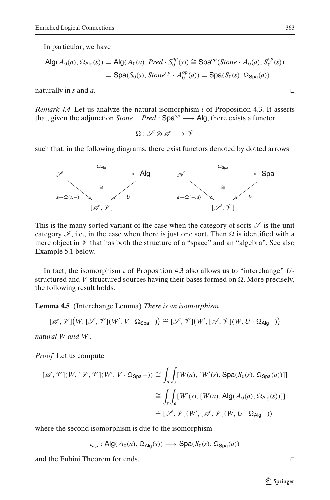In particular, we have

$$
\begin{aligned} \mathsf{Alg}(A_0(a), \Omega_{\mathsf{Alg}}(s)) &= \mathsf{Alg}(A_0(a), \mathit{Pred} \cdot S_0^{op}(s)) \cong \mathsf{Spa}^{op}(\mathit{Stone} \cdot A_0(a), S_0^{op}(s)) \\ &= \mathsf{Spa}(S_0(s), \mathit{Stone}^{op} \cdot A_0^{op}(a)) = \mathsf{Spa}(S_0(s), \Omega_{\mathsf{Spa}}(a)) \end{aligned}
$$

naturally in *s* and *a*.

*Remark 4.4* Let us analyze the natural isomorphism ι of Proposition 4.3. It asserts that, given the adjunction  $Stone + Pred : Spa^{op} \longrightarrow Alg$ , there exists a functor

 $\Omega : \mathscr{S} \otimes \mathscr{A} \longrightarrow \mathscr{V}$ 

such that, in the following diagrams, there exist functors denoted by dotted arrows



This is the many-sorted variant of the case when the category of sorts  $\mathscr S$  is the unit category  $\mathscr{I}$ , i.e., in the case when there is just one sort. Then  $\Omega$  is identified with a mere object in  $\mathcal V$  that has both the structure of a "space" and an "algebra". See also Example 5.1 below.

In fact, the isomorphism ι of Proposition 4.3 also allows us to "interchange" *U*structured and *V*-structured sources having their bases formed on  $\Omega.$  More precisely, the following result holds.

**Lemma 4.5** (Interchange Lemma) *There is an isomorphism*

$$
[\mathscr{A}, \mathscr{V}](W, [\mathscr{S}, \mathscr{V}](W', V \cdot \Omega_{\text{Spa}}-)) \cong [\mathscr{S}, \mathscr{V}](W', [\mathscr{A}, \mathscr{V}](W, U \cdot \Omega_{\text{Alg}}-))
$$

*natural W and W .*

*Proof* Let us compute

$$
[\mathscr{A}, \mathscr{V}](W, [\mathscr{S}, \mathscr{V}](W', V \cdot \Omega_{\text{Spa}} -)) \cong \int_{a} \int_{s} [W(a), [W'(s), \text{Spa}(S_{0}(s), \Omega_{\text{Spa}}(a))]]
$$
  

$$
\cong \int_{s} \int_{a} [W'(s), [W(a), \text{Alg}(A_{0}(a), \Omega_{\text{Alg}}(s))]]
$$
  

$$
\cong [\mathscr{S}, \mathscr{V}](W', [\mathscr{A}, \mathscr{V}](W, U \cdot \Omega_{\text{Alg}} -))
$$

where the second isomorphism is due to the isomorphism

$$
\iota_{a,s}: \mathsf{Alg}(A_0(a), \Omega_{\mathsf{Alg}}(s)) \longrightarrow \mathsf{Spa}(S_0(s), \Omega_{\mathsf{Spa}}(a))
$$

and the Fubini Theorem for ends.

 $\mathcal{D}$  Springer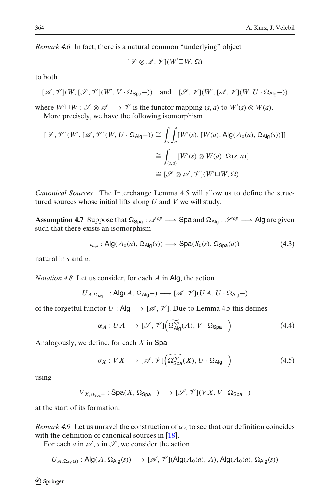<span id="page-15-0"></span>*Remark 4.6* In fact, there is a natural common "underlying" object

$$
[\mathcal{S}\otimes\mathcal{A},\mathcal{V}](W'\square W,\Omega)
$$

to both

$$
[\mathscr{A}, \mathscr{V}](W, [\mathscr{S}, \mathscr{V}](W', V \cdot \Omega_{\text{Spa}}-)) \quad \text{and} \quad [\mathscr{S}, \mathscr{V}](W', [\mathscr{A}, \mathscr{V}](W, U \cdot \Omega_{\text{Alg}}-))
$$

where  $W' \square W : \mathscr{S} \otimes \mathscr{A} \longrightarrow \mathscr{V}$  is the functor mapping  $(s, a)$  to  $W'(s) \otimes W(a)$ .

More precisely, we have the following isomorphism

$$
[\mathcal{S}, \mathcal{V}](W', [\mathcal{A}, \mathcal{V}](W, U \cdot \Omega_{\text{Alg}} -)) \cong \int_{s} \int_{a} [W'(s), [W(a), \text{Alg}(A_{0}(a), \Omega_{\text{Alg}}(s))]]
$$
  

$$
\cong \int_{(s,a)} [W'(s) \otimes W(a), \Omega(s, a)]
$$
  

$$
\cong [\mathcal{S} \otimes \mathcal{A}, \mathcal{V}](W' \square W, \Omega)
$$

*Canonical Sources* The Interchange Lemma 4.5 will allow us to define the structured sources whose initial lifts along *U* and *V* we will study.

**Assumption 4.7** Suppose that  $\Omega_{\text{Spa}} : \mathcal{A}^{op} \longrightarrow \text{Spa}$  and  $\Omega_{\text{Alg}} : \mathcal{S}^{op} \longrightarrow \text{Alg}$  are given such that there exists an isomorphism

$$
\iota_{a,s}: \mathsf{Alg}(A_0(a), \Omega_{\mathsf{Alg}}(s)) \longrightarrow \mathsf{Spa}(S_0(s), \Omega_{\mathsf{Spa}}(a)) \tag{4.3}
$$

natural in *s* and *a*.

*Notation 4.8* Let us consider, for each *A* in Alg, the action

$$
U_{A,\Omega_{\text{Alg}-}} : \text{Alg}(A,\Omega_{\text{Alg}-}) \longrightarrow [\mathscr{A},\mathscr{V}](UA,U\cdot \Omega_{\text{Alg}-})
$$

of the forgetful functor *U* : Alg  $\rightarrow$  [ $\mathcal{A}, \mathcal{V}$ ]. Due to Lemma 4.5 this defines

$$
\alpha_A: UA \longrightarrow [\mathscr{S}, \mathscr{V}]\left(\Omega_{\text{Alg}}^{\widetilde{op}}(A), V \cdot \Omega_{\text{Spa}}-\right) \tag{4.4}
$$

Analogously, we define, for each *X* in Spa

$$
\sigma_X: VX \longrightarrow [\mathscr{A}, \mathscr{V}]\left(\widetilde{\Omega_{\text{Spa}}^{op}}(X), U \cdot \Omega_{\text{Alg}}\right) \tag{4.5}
$$

using

$$
V_{X,\Omega_{\operatorname{Spa}-}}:\operatorname{Spa}(X,\Omega_{\operatorname{Spa}-})\longrightarrow [\mathscr{S},\mathscr{V}](VX,V\cdot\Omega_{\operatorname{Spa}-})
$$

at the start of its formation.

*Remark 4.9* Let us unravel the construction of  $\alpha_A$  to see that our definition coincides with the definition of canonical sources in [\[18](#page-28-0)].

For each *a* in  $\mathscr A$ , *s* in  $\mathscr S$ , we consider the action

$$
U_{A,\Omega_{\text{Alg}}(s)}:\text{Alg}(A,\Omega_{\text{Alg}}(s))\longrightarrow [\mathscr{A},\mathscr{V}](\text{Alg}(A_0(a),A),\text{Alg}(A_0(a),\Omega_{\text{Alg}}(s))
$$

 $\mathcal{D}$  Springer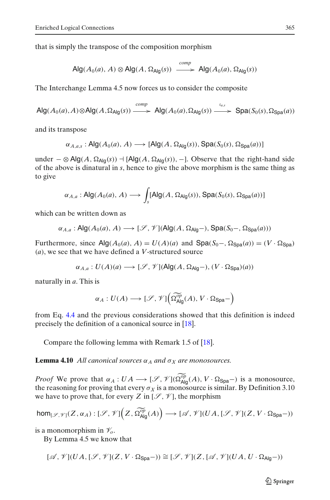that is simply the transpose of the composition morphism

$$
\mathsf{Alg}(A_0(a), A) \otimes \mathsf{Alg}(A, \Omega_{\mathsf{Alg}}(s)) \xrightarrow{\text{comp}} \mathsf{Alg}(A_0(a), \Omega_{\mathsf{Alg}}(s))
$$

The Interchange Lemma 4.5 now forces us to consider the composite

$$
\mathsf{Alg}(A_0(a),A)\otimes\mathsf{Alg}(A,\Omega_{\mathsf{Alg}}(s))\xrightarrow{comp}\mathsf{Alg}(A_0(a),\Omega_{\mathsf{Alg}}(s))\xrightarrow{\iota_{a,s}}\mathsf{Spa}(S_0(s),\Omega_{\mathsf{Spa}}(a))
$$

and its transpose

$$
\alpha_{A,a,s}: \mathsf{Alg}(A_0(a), A) \longrightarrow [\mathsf{Alg}(A, \Omega_{\mathsf{Alg}}(s)), \mathsf{Spa}(S_0(s), \Omega_{\mathsf{Spa}}(a))]
$$

under  $-$  ⊗ Alg(*A*, Ω<sub>Alg</sub>(*s*))  $\dashv$  [Alg(*A*, Ω<sub>Alg</sub>(*s*)), -]. Observe that the right-hand side of the above is dinatural in *s*, hence to give the above morphism is the same thing as to give

$$
\alpha_{A,a}: \mathsf{Alg}(A_0(a), A) \longrightarrow \int_s [\mathsf{Alg}(A, \Omega_{\mathsf{Alg}}(s)), \mathsf{Spa}(S_0(s), \Omega_{\mathsf{Spa}}(a))]
$$

which can be written down as

$$
\alpha_{A,a}: \mathsf{Alg}(A_0(a), A) \longrightarrow [\mathscr{S}, \mathscr{V}](\mathsf{Alg}(A, \Omega_{\mathsf{Alg}}-), \mathsf{Spa}(S_0-, \Omega_{\mathsf{Spa}}(a)))
$$

Furthermore, since  $\text{Alg}(A_0(a), A) = U(A)(a)$  and  $\text{Spa}(S_0-, \Omega_{\text{Spa}}(a)) = (V \cdot \Omega_{\text{Spa}})$ (*a*), we see that we have defined a *V*-structured source

$$
\alpha_{A,a}: U(A)(a) \longrightarrow [\mathcal{S}, \mathcal{V}](\mathsf{Alg}(A, \Omega_{\mathsf{Alg}}-), (V \cdot \Omega_{\mathsf{Spa}})(a))
$$

naturally in *a*. This is

$$
\alpha_A: U(A) \longrightarrow [\mathscr{S}, \mathscr{V}](\widetilde{\Omega_{\text{Alg}}^{\text{op}}}(A), V \cdot \Omega_{\text{Spa}}-)
$$

from Eq. [4.4](#page-15-0) and the previous considerations showed that this definition is indeed precisely the definition of a canonical source in [\[18](#page-28-0)].

Compare the following lemma with Remark 1.5 of [\[18](#page-28-0)].

**Lemma 4.10** *All canonical sources*  $\alpha_A$  *and*  $\sigma_X$  *are monosources.* 

*Proof* We prove that  $\alpha_A : UA \longrightarrow [\mathcal{S}, \mathcal{V}](\Omega_{\text{Alg}}^{\overline{op}}(A), V \cdot \Omega_{\text{Spa}}-)$  is a monosource, the reasoning for proving that every  $\sigma_X$  is a monosource is similar. By Definition 3.10 we have to prove that, for every *Z* in  $[\mathscr{S}, \mathscr{V}]$ , the morphism

$$
\textup{hom}_{[\mathscr{S},\mathscr{V}]}(Z,\alpha_A): [\mathscr{S},\mathscr{V}]\Big(Z,\widetilde{\Omega_{\textup{Alg}}^{op}}(A)\Big) \longrightarrow [\mathscr{A},\mathscr{V}](UA,[\mathscr{S},\mathscr{V}](Z,V\cdot\Omega_{\textup{Spa}}-))
$$

is a monomorphism in  $\mathcal{V}_o$ .

By Lemma 4.5 we know that

$$
[{\mathscr A},{\mathscr V}](UA,[{\mathscr S},{\mathscr V}](Z,V\cdot\Omega_{\operatorname{Spa}}-))\cong [{\mathscr S},{\mathscr V}](Z,[{\mathscr A},{\mathscr V}](UA,U\cdot\Omega_{\operatorname{Alg}}-))
$$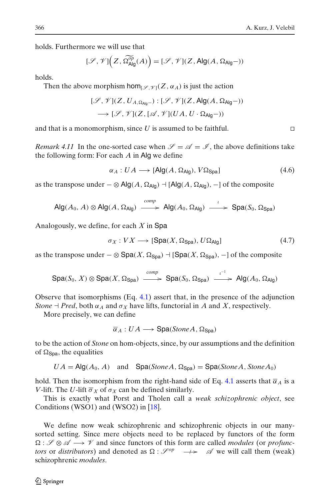holds. Furthermore we will use that

$$
[\mathscr{S},\mathscr{V}]\Big(Z,\widetilde{\Omega^{\text{op}}_{\text{Alg}}}(A)\Big)=[\mathscr{S},\mathscr{V}](Z,\text{Alg}(A,\Omega_{\text{Alg}}-))
$$

holds.

Then the above morphism hom<sub> $\mathcal{V}(\mathcal{Z}, \alpha_A)$  is just the action</sub>

$$
[\mathcal{S}, \mathcal{V}](Z, U_{A, \Omega_{\text{Alg}}}) : [\mathcal{S}, \mathcal{V}](Z, \text{Alg}(A, \Omega_{\text{Alg}} -))
$$
  

$$
\longrightarrow [\mathcal{S}, \mathcal{V}](Z, [\mathcal{A}, \mathcal{V}](UA, U \cdot \Omega_{\text{Alg}} -))
$$

and that is a monomorphism, since U is assumed to be faithful.  $\Box$ 

*Remark 4.11* In the one-sorted case when  $\mathcal{S} = \mathcal{A} = \mathcal{I}$ , the above definitions take the following form: For each *A* in Alg we define

$$
\alpha_A: UA \longrightarrow [Alg(A, \Omega_{Alg}), V\Omega_{Spa}] \tag{4.6}
$$

as the transpose under  $-\otimes$  Alg(*A*,  $\Omega_{\text{Alg}}$ )  $\neg$  [Alg(*A*,  $\Omega_{\text{Alg}}$ ),  $\neg$ ] of the composite

$$
\mathsf{Alg}(A_0, A) \otimes \mathsf{Alg}(A, \Omega_{\mathsf{Alg}}) \xrightarrow{\text{comp}} \mathsf{Alg}(A_0, \Omega_{\mathsf{Alg}}) \xrightarrow{\iota} \mathsf{Spa}(S_0, \Omega_{\mathsf{Spa}})
$$

Analogously, we define, for each *X* in Spa

$$
\sigma_X: VX \longrightarrow [\text{Spa}(X, \Omega_{\text{Spa}}), U\Omega_{\text{Alg}}] \tag{4.7}
$$

as the transpose under  $-\otimes$  Spa $(X, \Omega_{Spa})$   $\dashv$  [Spa $(X, \Omega_{Spa})$ ,  $\dashv$ ] of the composite

$$
\text{Spa}(S_0, X) \otimes \text{Spa}(X, \Omega_{\text{Spa}}) \xrightarrow{comp} \text{Spa}(S_0, \Omega_{\text{Spa}}) \xrightarrow{\iota^{-1}} \text{Alg}(A_0, \Omega_{\text{Alg}})
$$

Observe that isomorphisms (Eq. [4.1\)](#page-13-0) assert that, in the presence of the adjunction *Stone*  $\exists$  *Pred*, both  $\alpha_A$  and  $\sigma_X$  have lifts, functorial in *A* and *X*, respectively.

More precisely, we can define

$$
\overline{\alpha}_A: UA \longrightarrow \text{Spa}(StoneA, \Omega_{\text{Spa}})
$$

to be the action of *Stone* on hom-objects, since, by our assumptions and the definition of  $\Omega$ <sub>Spa</sub>, the equalities

$$
UA = Alg(A_0, A)
$$
 and  $Spa(Stone A, \Omega_{Spa}) = Spa(Stone A, Stone A_0)$ 

hold. Then the isomorphism from the right-hand side of Eq. [4.1](#page-13-0) asserts that  $\bar{\alpha}_A$  is a *V*-lift. The *U*-lift  $\overline{\sigma}_X$  of  $\sigma_X$  can be defined similarly.

This is exactly what Porst and Tholen call a *weak schizophrenic object*, see Conditions (WSO1) and (WSO2) in [\[18\]](#page-28-0).

We define now weak schizophrenic and schizophrenic objects in our manysorted setting. Since mere objects need to be replaced by functors of the form  $Ω: \mathscr{S} \otimes \mathscr{A} \longrightarrow \mathscr{V}$  and since functors of this form are called *modules* (or *profunctors* or *distributors*) and denoted as  $\Omega$ :  $\mathcal{S}^{op} \longrightarrow \mathcal{A}$  we will call them (weak) schizophrenic *modules*.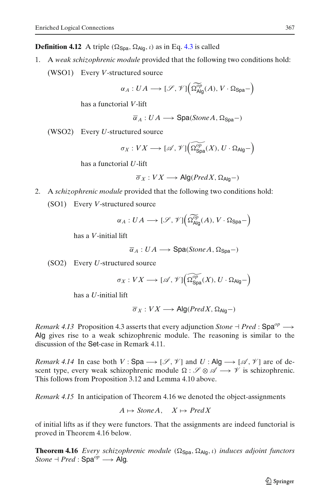**Definition 4.12** A triple ( $\Omega$ <sub>Spa</sub>,  $\Omega$ <sub>Alg</sub>, *i*) as in Eq. [4.3](#page-15-0) is called

1. A *weak schizophrenic module* provided that the following two conditions hold: (WSO1) Every *V*-structured source

$$
\alpha_A:UA\longrightarrow [\mathscr{S},\mathscr{V}]\Big(\widetilde{\Omega_{\text{Alg}}^{op}}(A),V\cdot \Omega_{\text{Spa}}-\Big)
$$

has a functorial *V*-lift

$$
\overline{\alpha}_A: UA \longrightarrow \text{Spa}(StoneA, \Omega_{\text{Spa}}-)
$$

(WSO2) Every *U*-structured source

$$
\sigma_X:VX\longrightarrow [\mathscr{A},\mathscr{V}]\Big(\widetilde{\Omega_\mathrm{Spa}^{op}}(X),U\cdot\Omega_{\mathrm{Alg}}-\Big)
$$

has a functorial *U*-lift

$$
\overline{\sigma}_X:VX\longrightarrow\mathsf{Alg}(PredX,\Omega_{\mathsf{Alg}}-)
$$

- 2. A *schizophrenic module* provided that the following two conditions hold:
	- (SO1) Every *V*-structured source

$$
\alpha_A: UA \longrightarrow [\mathscr{S}, \mathscr{V}]\Big(\widetilde{\Omega_{\text{Alg}}^{op}}(A), V \cdot \Omega_{\text{Spa}}-\Big)
$$

has a *V*-initial lift

$$
\overline{\alpha}_A: UA \longrightarrow \text{Spa}(StoneA, \Omega_{\text{Spa}}-)
$$

(SO2) Every *U*-structured source

$$
\sigma_X:VX\longrightarrow [\mathscr{A},\mathscr{V}]\Big(\widetilde{\Omega_\mathrm{Spa}^{op}}(X),U\cdot\Omega_{\mathrm{Alg}}-\Big)
$$

has a *U*-initial lift

$$
\overline{\sigma}_X:VX\longrightarrow\mathsf{Alg}(PredX,\Omega_{\mathsf{Alg}}-)
$$

*Remark 4.13* Proposition 4.3 asserts that every adjunction *Stone*  $\rightarrow$  *Pred* : Spa<sup>op</sup>  $\rightarrow$ Alg gives rise to a weak schizophrenic module. The reasoning is similar to the discussion of the Set-case in Remark 4.11.

*Remark 4.14* In case both *V* : Spa  $\rightarrow$  [ $\mathscr{S}, \mathscr{V}$ ] and *U* : Alg  $\rightarrow$  [ $\mathscr{A}, \mathscr{V}$ ] are of descent type, every weak schizophrenic module  $\Omega : \mathscr{S} \otimes \mathscr{A} \longrightarrow \mathscr{V}$  is schizophrenic. This follows from Proposition 3.12 and Lemma 4.10 above.

*Remark 4.15* In anticipation of Theorem 4.16 we denoted the object-assignments

 $A \mapsto$  *Stone A*,  $X \mapsto$  *Pred X* 

of initial lifts as if they were functors. That the assignments are indeed functorial is proved in Theorem 4.16 below.

**Theorem 4.16** *Every schizophrenic module* (Ω<sub>Spa</sub>, Ω<sub>Alg</sub>, *ι*) *induces adjoint functors*  $Stone + Pred : Spa<sup>op</sup> \longrightarrow Alg.$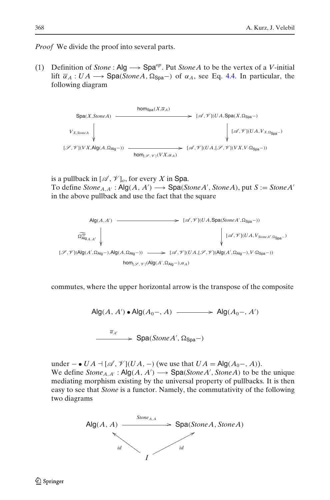*Proof* We divide the proof into several parts.

(1) Definition of *Stone* : Alg  $\longrightarrow$  Spa<sup>*op*</sup>. Put *Stone A* to be the vertex of a *V*-initial lift  $\bar{\alpha}_A: UA \longrightarrow \text{Spa}(StoneA, \Omega_{\text{Spa}}-)$  of  $\alpha_A$ , see Eq. [4.4.](#page-15-0) In particular, the following diagram



is a pullback in  $[\mathcal{A}, \mathcal{V}]_o$ , for every *X* in Spa. To define  $\text{Stone}_{A,A'} : \mathsf{Alg}(A, A') \longrightarrow \mathsf{Spa}(\text{Stone }A', \text{Stone }A)$ , put  $S := \text{Stone }A'$ in the above pullback and use the fact that the square

Alg(*A*,*A* ) -- *op* Alg *A*,*A* [A ,V ](*U A*,Spa(*StoneA* ,-Spa−)) [A ,V ](*U A*,*VStoneA*,-Spa−) [S ,V ](Alg(*A* ,-Alg−),Alg(*A*,-Alg−)) hom[S,<sup>V</sup> ](Alg(*A* ,-Alg−),α*A*) [A ,V ](*U A*,[S ,V ](Alg(*A* ,-Alg−),*V*·-Spa−))

commutes, where the upper horizontal arrow is the transpose of the composite

 $\mathsf{Alg}(A, A') \bullet \mathsf{Alg}(A_0-, A) \longrightarrow \mathsf{Alg}(A_0-, A')$  $\frac{\overline{\alpha}_{A'}}{\longrightarrow}$  Spa(*StoneA'*,  $\Omega_{\text{Spa}}$ -)

-

under – • *UA*  $\exists$  [ $\mathscr{A}$ ,  $\mathscr{V}$ ](*UA*, −) (we use that *UA* = Alg( $A_0$ −,  $A$ )). We define  $\text{Stone}_{A,A'} : \mathsf{Alg}(A, A') \longrightarrow \mathsf{Spa}(\text{Stone }A', \text{Stone }A)$  to be the unique mediating morphism existing by the universal property of pullbacks. It is then easy to see that *Stone* is a functor. Namely, the commutativity of the following two diagrams

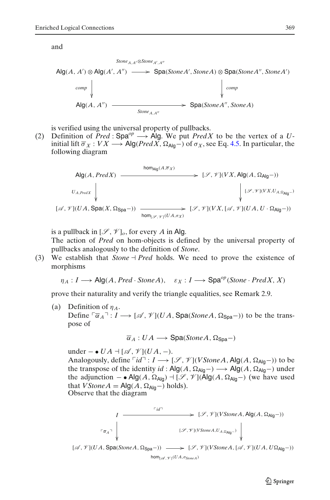and

$$
\begin{array}{ccc}\n\text{Stone}_{A,A'} \otimes \text{Stone}_{A',A''} & \\
\text{Alg}(A, A') \otimes \text{Alg}(A', A'') & \longrightarrow & \text{Spa}( \text{Stone } A', \text{Stone } A) \otimes \text{Spa}( \text{Stone } A'', \text{ Stone } A'') \\
\downarrow^{\text{comp}} & & \downarrow^{\text{comp}} \\
\text{Alg}(A, A'') & \longrightarrow & \text{Stone } A, \text{A''} & \\
\end{array}
$$

is verified using the universal property of pullbacks.

(2) Definition of  $\overrightarrow{Pred}$  : Spa<sup>op</sup>  $\longrightarrow$  Alg. We put *PredX* to be the vertex of a *U*initial lift  $\overline{\sigma}_X:VX\longrightarrow \mathsf{Alg}(PredX, \Omega_{\mathsf{Alg}}-)$  of  $\sigma_X,$  see Eq. [4.5.](#page-15-0) In particular, the following diagram

$$
\begin{array}{ccc}\n\text{Alg}(A, PredX) & \xrightarrow{\text{hom}_{\text{Alg}}(A, \overline{\sigma}_X)} & [\mathcal{S}, \mathcal{V}](VX, \text{Alg}(A, \Omega_{\text{Alg}} -)) \\
& U_{A, PredX} & \downarrow & \downarrow & \downarrow & \downarrow & \downarrow & \downarrow & \downarrow & \downarrow & \downarrow & \downarrow & \downarrow & \downarrow & \downarrow & \downarrow & \downarrow & \downarrow & \downarrow & \downarrow & \downarrow & \downarrow & \downarrow & \downarrow & \downarrow & \downarrow & \downarrow & \downarrow & \downarrow & \downarrow & \downarrow & \downarrow & \downarrow & \downarrow & \downarrow & \downarrow & \downarrow & \downarrow & \downarrow & \downarrow & \downarrow & \downarrow & \downarrow & \downarrow & \downarrow & \downarrow & \downarrow & \downarrow & \downarrow & \downarrow & \downarrow & \downarrow & \downarrow & \downarrow & \downarrow & \downarrow & \downarrow & \downarrow & \downarrow & \downarrow & \downarrow & \downarrow & \downarrow & \downarrow & \downarrow & \downarrow & \downarrow & \downarrow & \downarrow & \downarrow & \downarrow & \downarrow & \downarrow & \downarrow & \downarrow & \downarrow & \downarrow & \downarrow & \downarrow & \downarrow & \downarrow & \downarrow & \downarrow & \downarrow & \downarrow & \downarrow & \downarrow & \downarrow & \downarrow & \downarrow & \downarrow & \downarrow & \downarrow & \downarrow & \downarrow & \downarrow & \downarrow & \downarrow & \downarrow & \downarrow & \downarrow & \downarrow & \downarrow & \downarrow & \downarrow & \downarrow & \downarrow & \downarrow & \downarrow & \downarrow & \downarrow & \downarrow & \downarrow &
$$

is a pullback in  $[\mathcal{S}, \mathcal{V}]_o$ , for every *A* in Alg.

The action of *Pred* on hom-objects is defined by the universal property of pullbacks analogously to the definition of *Stone*.

 $(3)$  We establish that *Stone*  $\exists$  *Pred* holds. We need to prove the existence of morphisms

$$
\eta_A: I \longrightarrow \text{Alg}(A, Pred \cdot Stone A), \quad \varepsilon_X: I \longrightarrow \text{Spa}^{op}(\text{Stone} \cdot Pred X, X)
$$

prove their naturality and verify the triangle equalities, see Remark 2.9.

(a) Definition of  $\eta_A$ . Define  $\ulcorner \overline{\alpha}_A \urcorner : I \longrightarrow [\mathcal{A}, \mathcal{V}](UA, \text{Spa}(StoneA, \Omega_{\text{Spa}}-))$  to be the transpose of

$$
\overline{\alpha}_A: UA \longrightarrow \text{Spa}(StoneA, \Omega_{\text{Spa}}-)
$$

 $under - ∘ UA ⊥ [∞, ∅](UA, -).$ Analogously, define  $\ulcorner id \urcorner : I \longrightarrow [\mathcal{S}, \mathcal{V}](V \mathit{Stone } A, \mathsf{Alg}(A, \Omega_{\mathsf{Alg}}-))$  to be the transpose of the identity  $id$ : Alg( $A$ ,  $\Omega_{\text{Alg}}$ -)  $\longrightarrow$  Alg( $A$ ,  $\Omega_{\text{Alg}}$ -) under the adjunction  $-$  • Alg(*A*, Ω<sub>Alg</sub>)  $\exists$  [ $\mathcal{S}$ ,  $\mathcal{V}$ ](Alg(*A*, Ω<sub>Alg</sub>-) (we have used that *VStone A* =  $\text{Alg}(A, \Omega_{\text{Alg}}-)$  holds). Observe that the diagram

$$
I \longrightarrow [\mathcal{I}, \mathcal{V}](VStoneA, Alg(A, \Omega_{Alg} -))
$$
  
\n
$$
[\mathcal{A}, \mathcal{V}](UA, Sp_{a}(StoneA, \Omega_{Spa} -)) \longrightarrow [\mathcal{I}, \mathcal{V}](VStoneA, [A, \mathcal{V}](UA, U\Omega_{Alg} -))
$$
  
\n
$$
[A, \mathcal{V}](UA, Sp_{a}(StoneA, \Omega_{Spa} -)) \longrightarrow [\mathcal{I}, \mathcal{V}](VStoneA, [A, \mathcal{V}](UA, U\Omega_{Alg} -))
$$
  
\n
$$
hom_{[\mathcal{I}, \mathcal{V}]}(UA, \sigma_{SomeA})
$$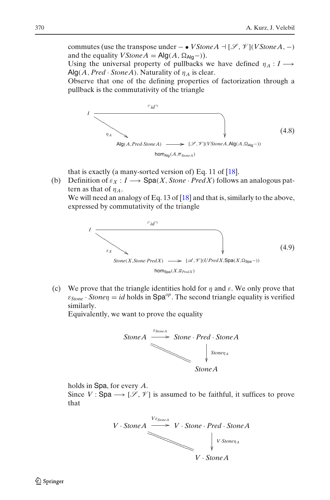<span id="page-21-0"></span>commutes (use the transpose under – • *VStone A*  $\exists$  [ $\mathscr{S}, \mathscr{V}$ ](*VStone A*, –) and the equality *V Stone A* =  $\mathsf{Alg}(A, \Omega_{\mathsf{Alg}}-)$ ).

Using the universal property of pullbacks we have defined  $\eta_A : I \longrightarrow$  $Alg(A, Pred \cdot StoneA)$ . Naturality of  $\eta_A$  is clear.

Observe that one of the defining properties of factorization through a pullback is the commutativity of the triangle



that is exactly (a many-sorted version of) Eq. 11 of [\[18\]](#page-28-0).

(b) Definition of  $\varepsilon_X : I \longrightarrow \text{Spa}(X, \text{Stone} \cdot \text{Pred}X)$  follows an analogous pattern as that of η*A*.

We will need an analogy of Eq. 13 of [\[18\]](#page-28-0) and that is, similarly to the above, expressed by commutativity of the triangle



(c) We prove that the triangle identities hold for  $\eta$  and  $\varepsilon$ . We only prove that  $\varepsilon_{Stone} \cdot Stone \eta = id$  holds in Spa<sup>op</sup>. The second triangle equality is verified similarly.

Equivalently, we want to prove the equality



holds in Spa, for every *A*.

Since  $V:$  Spa  $\longrightarrow$  [ $\mathscr{S}, \mathscr{V}$ ] is assumed to be faithful, it suffices to prove that

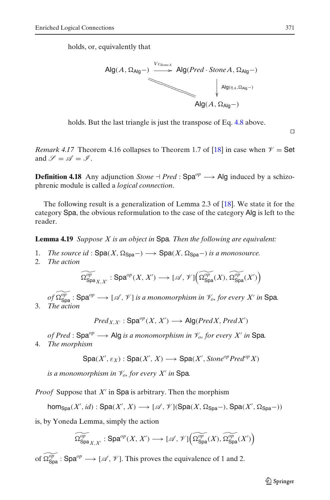holds, or, equivalently that



holds. But the last triangle is just the transpose of Eq. [4.8](#page-21-0) above.

 $\Box$ 

*Remark 4.17* Theorem 4.16 collapses to Theorem 1.7 of [\[18\]](#page-28-0) in case when  $\mathcal{V} =$  Set and  $\mathscr{S} = \mathscr{A} = \mathscr{I}$ .

**Definition 4.18** Any adjunction *Stone*  $\dash$  *Pred* : Spa<sup>op</sup>  $\longrightarrow$  Alg induced by a schizophrenic module is called a *logical connection*.

The following result is a generalization of Lemma 2.3 of [\[18\]](#page-28-0). We state it for the category Spa, the obvious reformulation to the case of the category Alg is left to the reader.

**Lemma 4.19** *Suppose X is an object in* Spa*. Then the following are equivalent:*

- 1. *The source id* :  $\text{Spa}(X, \Omega_{\text{Spa}}-) \longrightarrow \text{Spa}(X, \Omega_{\text{Spa}}-)$  *is a monosource.*
- 2. *The action*

$$
\widetilde{\Omega^{\mathit{op}}_{\mathsf{Spa}_{X,X'}}}: \mathsf{Spa}^\mathit{op}(X,X') \longrightarrow [\mathscr{A},\mathscr{V}] \Big( \widetilde{\Omega^{\mathit{op}}_{\mathsf{Spa}}}(X),\widetilde{\Omega^{\mathit{op}}_{\mathsf{Spa}}}(X') \Big)
$$

 $of$   $\widetilde{\Omega^{op}_{\mathsf{Spa}}}$  :  $\mathsf{Spa}^{op} \longrightarrow$   $[\mathscr{A},\mathscr{V}]$  *is a monomorphism in*  $\mathscr{V}_o$ *, for every*  $X'$  *in*  $\mathsf{Spa}.$ 3. *The action*

 $Pred_{X,X'} : \mathsf{Spa}^{op}(X,X') \longrightarrow \mathsf{Alg}(PredX, PredX')$ 

*of Pred* : Spa<sup> $op \rightarrow$ </sup> Alg *is a monomorphism in*  $\mathcal{V}_o$  *for every X' in* Spa. 4. *The morphism*

$$
\text{Spa}(X',\varepsilon_X) : \text{Spa}(X',X) \longrightarrow \text{Spa}(X',\text{Stone}^{op}\text{Pred}^{op}X)
$$

*is a monomorphism in*  $\mathcal{V}_o$ *, for every X' in* Spa.

*Proof* Suppose that  $X'$  in Spa is arbitrary. Then the morphism

 $\mathsf{hom}_{\mathsf{Spa}}(X',\mathit{id}): \mathsf{Spa}(X',X) \longrightarrow [\mathscr{A},\mathscr{V}](\mathsf{Spa}(X,\Omega_{\mathsf{Spa}}-),\mathsf{Spa}(X',\Omega_{\mathsf{Spa}}-))$ 

is, by Yoneda Lemma, simply the action

$$
\widetilde{\Omega^{\mathop{\rm op}\nolimits}_{\mathop{\rm Spa}\nolimits_{X,X'}}}: \mathop{\rm Spa}\nolimits^{\mathop{\rm op}\nolimits}(X,X') \longrightarrow [\mathscr{A},\mathscr{V}] \Big( \widetilde{\Omega^{\mathop{\rm op}\nolimits}_{\mathop{\rm Spa}\nolimits}(X)}, \widetilde{\Omega^{\mathop{\rm op}\nolimits}_{\mathop{\rm Spa}\nolimits}(X') \Big)
$$

of  $\widetilde{\Omega^{op}_{\text{Spa}}}$ : Spa<sup>op</sup>  $\longrightarrow$  [ $\mathscr A$ ,  $\mathscr V$ ]. This proves the equivalence of 1 and 2.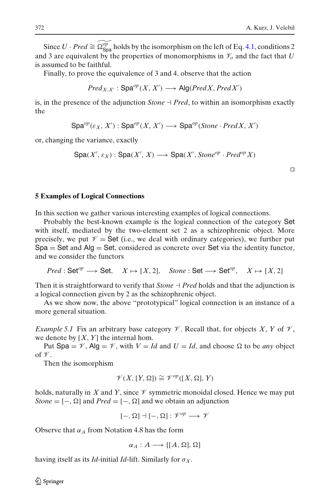<span id="page-23-0"></span>Since *U* · *Pred*  $\cong$   $\widehat{\Omega_{\text{Spa}}^{op}}$  holds by the isomorphism on the left of Eq. [4.1,](#page-13-0) conditions 2 and 3 are equivalent by the properties of monomorphisms in  $\mathcal{V}_o$  and the fact that *U* is assumed to be faithful.

Finally, to prove the equivalence of 3 and 4, observe that the action

 $Pred_{X,X'} : \mathsf{Spa}^{op}(X, X') \longrightarrow \mathsf{Alg}(PredX, PredX')$ 

is, in the presence of the adjunction *Stone*  $\exists$  *Pred*, to within an isomorphism exactly the

 $\textsf{Spa}^{op}(\varepsilon_X, X') : \textsf{Spa}^{op}(X, X') \longrightarrow \textsf{Spa}^{op}(\textit{Stone} \cdot \textit{PredX}, X')$ 

or, changing the variance, exactly

```
\textsf{Spa}(X', \varepsilon_X) : \textsf{Spa}(X', X) \longrightarrow \textsf{Spa}(X', \textit{Stone}^{op} \cdot \textit{Pred}^{op} X)
```
 $\Box$ 

# **5 Examples of Logical Connections**

In this section we gather various interesting examples of logical connections.

Probably the best-known example is the logical connection of the category Set with itself, mediated by the two-element set 2 as a schizophrenic object. More precisely, we put  $\mathcal{V} =$  Set (i.e., we deal with ordinary categories), we further put  $Spa = Set$  and  $Alg = Set$ , considered as concrete over Set via the identity functor, and we consider the functors

 $Pred : Set^{op} \longrightarrow Set$ ,  $X \mapsto [X, 2]$ , *Stone* : Set  $\longrightarrow Set^{op}$ ,  $X \mapsto [X, 2]$ 

Then it is straightforward to verify that  $Stone \dashv Pred$  holds and that the adjunction is a logical connection given by 2 as the schizophrenic object.

As we show now, the above "prototypical" logical connection is an instance of a more general situation.

*Example 5.1* Fix an arbitrary base category  $\mathcal V$ . Recall that, for objects *X*, *Y* of  $\mathcal V$ , we denote by [*X*, *Y*] the internal hom.

Put Spa =  $\mathcal{V}$ , Alg =  $\mathcal{V}$ , with  $V = Id$  and  $U = Id$ , and choose  $\Omega$  to be *any* object of  $\mathcal V$ .

Then the isomorphism

$$
\mathscr{V}(X,[Y,\Omega]) \cong \mathscr{V}^{op}([X,\Omega],Y)
$$

holds, naturally in  $X$  and  $Y$ , since  $Y$  symmetric monoidal closed. Hence we may put  $Stone = [-, \Omega]$  and  $Pred = [-, \Omega]$  and we obtain an adjunction

$$
[-,\Omega]\dashv [-,\Omega]:\mathscr V^{op}\longrightarrow\mathscr V
$$

Observe that  $\alpha_A$  from Notation 4.8 has the form

$$
\alpha_A : A \longrightarrow [[A, \Omega], \Omega]
$$

having itself as its *Id*-initial *Id*-lift. Similarly for  $\sigma_X$ .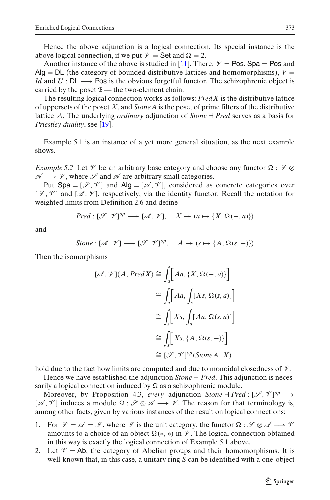Hence the above adjunction is a logical connection. Its special instance is the above logical connection, if we put  $\mathcal{V} =$  Set and  $\Omega = 2$ .

Another instance of the above is studied in [\[11\]](#page-28-0). There:  $V = Pos$ , Spa = Pos and  $Alg = DL$  (the category of bounded distributive lattices and homomorphisms),  $V =$ *Id* and *U* : DL  $\longrightarrow$  Pos is the obvious forgetful functor. The schizophrenic object is carried by the poset  $2$  — the two-element chain.

The resulting logical connection works as follows: *PredX* is the distributive lattice of uppersets of the poset *X*, and *StoneA* is the poset of prime filters of the distributive lattice *A*. The underlying *ordinary* adjunction of *Stone* - *Pred* serves as a basis for *Priestley duality*, see [\[19\]](#page-28-0).

Example 5.1 is an instance of a yet more general situation, as the next example shows.

*Example 5.2* Let  $\mathcal V$  be an arbitrary base category and choose any functor  $\Omega$ :  $\mathcal S \otimes$  $\mathscr{A} \longrightarrow \mathscr{V}$ , where  $\mathscr{S}$  and  $\mathscr{A}$  are arbitrary small categories.

Put Spa =  $[\mathscr{S}, \mathscr{V}]$  and Alg =  $[\mathscr{A}, \mathscr{V}]$ , considered as concrete categories over  $[\mathscr{S}, \mathscr{V}]$  and  $[\mathscr{A}, \mathscr{V}]$ , respectively, via the identity functor. Recall the notation for weighted limits from Definition 2.6 and define

$$
Pred : [\mathcal{S}, \mathcal{V}]^{op} \longrightarrow [\mathcal{A}, \mathcal{V}], \quad X \mapsto (a \mapsto \{X, \Omega(-, a)\})
$$

and

$$
Stone : [\mathscr{A}, \mathscr{V}] \longrightarrow [\mathscr{S}, \mathscr{V}]^{op}, \quad A \mapsto (s \mapsto \{A, \Omega(s, -)\})
$$

Then the isomorphisms

$$
[\mathscr{A}, \mathscr{V}](A, PredX) \cong \int_a [Aa, \{X, \Omega(-, a)\}]
$$

$$
\cong \int_a [Aa, \int_s [Xs, \Omega(s, a)]]
$$

$$
\cong \int_s [Xs, \int_a [Aa, \Omega(s, a)]]
$$

$$
\cong \int_s [Xs, \{A, \Omega(s, -)\}]
$$

$$
\cong [\mathscr{S}, \mathscr{V}]^{op}(\text{Stone } A, X)
$$

hold due to the fact how limits are computed and due to monoidal closedness of  $\mathcal V$ .

Hence we have established the adjunction  $Stone \dashv Pred$ . This adjunction is necessarily a logical connection induced by  $\Omega$  as a schizophrenic module.

Moreover, by Proposition 4.3, *every* adjunction  $Stone + Pred : [\mathcal{S}, \mathcal{V}]^{op} \longrightarrow$ [ $\mathscr{A}, \mathscr{V}$ ] induces a module  $\Omega : \mathscr{S} \otimes \mathscr{A} \longrightarrow \mathscr{V}$ . The reason for that terminology is, among other facts, given by various instances of the result on logical connections:

- 1. For  $\mathcal{S} = \mathcal{A} = \mathcal{I}$ , where  $\mathcal{I}$  is the unit category, the functor  $\Omega : \mathcal{S} \otimes \mathcal{A} \longrightarrow \mathcal{V}$ amounts to a choice of an object  $\Omega(*, *)$  in  $\mathscr V$ . The logical connection obtained in this way is exactly the logical connection of Example 5.1 above.
- 2. Let  $\mathcal{V} = Ab$ , the category of Abelian groups and their homomorphisms. It is well-known that, in this case, a unitary ring *S* can be identified with a one-object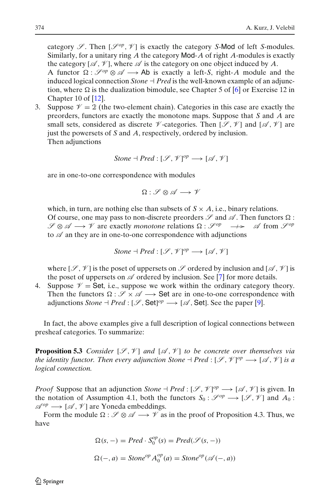category  $\mathscr{S}$ . Then  $[\mathscr{S}^{op}, \mathscr{V}]$  is exactly the category *S*-Mod of left *S*-modules. Similarly, for a unitary ring *A* the category Mod-*A* of right *A*-modules is exactly the category  $[\mathcal{A}, \mathcal{V}]$ , where  $\mathcal A$  is the category on one object induced by A.

A functor  $\Omega$ :  $\mathcal{S}^{op} \otimes \mathcal{A} \longrightarrow$  Ab is exactly a left-*S*, right-*A* module and the induced logical connection  $Stone \dashv Pred$  is the well-known example of an adjunction, where  $\Omega$  is the dualization bimodule, see Chapter 5 of [\[6\]](#page-28-0) or Exercise 12 in Chapter 10 of [\[12\]](#page-28-0).

3. Suppose  $\mathcal{V} = 2$  (the two-element chain). Categories in this case are exactly the preorders, functors are exactly the monotone maps. Suppose that *S* and *A* are small sets, considered as discrete  $\nmathcal{V}$ -categories. Then  $[\mathcal{S}, \mathcal{V}]$  and  $[\mathcal{A}, \mathcal{V}]$  are just the powersets of *S* and *A*, respectively, ordered by inclusion. Then adjunctions

$$
Stone \dashv Pred : [\mathcal{S}, \mathcal{V}]^{op} \longrightarrow [\mathcal{A}, \mathcal{V}]
$$

are in one-to-one correspondence with modules

$$
\Omega: \mathscr{S} \otimes \mathscr{A} \longrightarrow \mathscr{V}
$$

which, in turn, are nothing else than subsets of  $S \times A$ , i.e., binary relations. Of course, one may pass to non-discrete preorders  $\mathscr S$  and  $\mathscr A$ . Then functors  $\Omega$ :  $\mathscr{S} \otimes \mathscr{A} \longrightarrow \mathscr{V}$  are exactly *monotone* relations  $\Omega : \mathscr{S}^{op} \longrightarrow$  $\mathscr A$  from  $\mathscr S^{op}$ to  $\mathscr A$  an they are in one-to-one correspondence with adjunctions

$$
Stone + Pred : [\mathcal{S}, \mathcal{V}]^{op} \longrightarrow [\mathcal{A}, \mathcal{V}]
$$

where  $[\mathscr{S}, \mathscr{V}]$  is the poset of uppersets on  $\mathscr{S}$  ordered by inclusion and  $[\mathscr{A}, \mathscr{V}]$  is the poset of uppersets on  $\mathscr A$  ordered by inclusion. See [\[7](#page-28-0)] for more details.

4. Suppose  $\mathcal{V} =$  Set, i.e., suppose we work within the ordinary category theory. Then the functors  $\Omega : \mathscr{S} \times \mathscr{A} \longrightarrow$  Set are in one-to-one correspondence with adjunctions  $Stone \dashv Pred : [\mathcal{S}, \mathsf{Set}]^{op} \longrightarrow [\mathcal{A}, \mathsf{Set}]$ . See the paper [\[9](#page-28-0)].

In fact, the above examples give a full description of logical connections between presheaf categories. To summarize:

**Proposition 5.3** *Consider*  $[\mathcal{S}, \mathcal{V}]$  *and*  $[\mathcal{A}, \mathcal{V}]$  *to be concrete over themselves via the identity functor. Then every adjunction Stone*  $\exists$  *Pred* : [ $\mathscr{S}, \mathscr{V}]^{op} \longrightarrow [\mathscr{A}, \mathscr{V}]$  *is a logical connection.*

*Proof* Suppose that an adjunction *Stone*  $\dash$  *Pred* : [ $\mathscr{S}, \mathscr{V}$ ]<sup>op</sup>  $\longrightarrow$  [ $\mathscr{A}, \mathscr{V}$ ] is given. In the notation of Assumption 4.1, both the functors  $S_0 : \mathcal{S}^{op} \longrightarrow [\mathcal{S}, \mathcal{V}]$  and  $A_0$ :  $\mathscr{A}^{op} \longrightarrow [\mathscr{A}, \mathscr{V}]$  are Yoneda embeddings.

Form the module  $\Omega : \mathscr{S} \otimes \mathscr{A} \longrightarrow \mathscr{V}$  as in the proof of Proposition 4.3. Thus, we have

$$
\Omega(s, -) = Pred \cdot S_0^{op}(s) = Pred(\mathcal{S}(s, -))
$$
  

$$
\Omega(-, a) = Stone^{op} A_0^{op}(a) = Stone^{op}(\mathcal{A}(-, a))
$$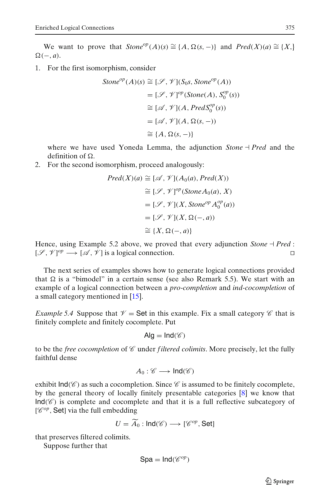We want to prove that  $Stone^{op}(A)(s) \cong \{A, \Omega(s, -)\}$  and  $Pred(X)(a) \cong \{X, \}$  $\Omega(-,a)$ .

1. For the first isomorphism, consider

$$
Stone^{op}(A)(s) \cong [\mathcal{S}, \mathcal{V}](S_0s, Stone^{op}(A))
$$
  
=  $[\mathcal{S}, \mathcal{V}]^{op}(Stone(A), S_0^{op}(s))$   
 $\cong [\mathcal{A}, \mathcal{V}](A, PredS_0^{op}(s))$   
=  $[\mathcal{A}, \mathcal{V}](A, \Omega(s, -))$   
 $\cong \{A, \Omega(s, -)\}\$ 

where we have used Yoneda Lemma, the adjunction  $Stone + Pred$  and the definition of  $\Omega$ .

2. For the second isomorphism, proceed analogously:

$$
Pred(X)(a) \cong [\mathcal{A}, \mathcal{V}](A_0(a), Pred(X))
$$
  
\n
$$
\cong [\mathcal{S}, \mathcal{V}]^{op}(\text{Stone } A_0(a), X)
$$
  
\n
$$
= [\mathcal{S}, \mathcal{V}](X, Stone^{op} A_0^{op}(a))
$$
  
\n
$$
= [\mathcal{S}, \mathcal{V}](X, \Omega(-, a))
$$
  
\n
$$
\cong \{X, \Omega(-, a)\}
$$

Hence, using Example 5.2 above, we proved that every adjunction *Stone*  $\exists$  *Pred*:  $[\mathscr{S}, \mathscr{V}]^{op} \longrightarrow [\mathscr{A}, \mathscr{V}]$  is a logical connection.

The next series of examples shows how to generate logical connections provided that  $\Omega$  is a "bimodel" in a certain sense (see also Remark 5.5). We start with an example of a logical connection between a *pro-completion* and *ind-cocompletion* of a small category mentioned in [\[15](#page-28-0)].

*Example 5.4* Suppose that  $\mathcal{V} =$  Set in this example. Fix a small category  $\mathcal{C}$  that is finitely complete and finitely cocomplete. Put

$$
\mathsf{Alg} = \mathsf{Ind}(\mathscr{C})
$$

to be the *free cocompletion* of  $\mathscr C$  under *filtered colimits*. More precisely, let the fully faithful dense

$$
A_0:\mathscr{C}\longrightarrow\mathsf{Ind}(\mathscr{C})
$$

exhibit  $Ind(\mathcal{C})$  as such a cocompletion. Since  $\mathcal C$  is assumed to be finitely cocomplete, by the general theory of locally finitely presentable categories [\[8](#page-28-0)] we know that  $Ind(\mathscr{C})$  is complete and cocomplete and that it is a full reflective subcategory of  $[{\mathscr{C}}^{op},$  Set] via the full embedding

$$
U = \widetilde{A}_0 : \mathsf{Ind}(\mathscr{C}) \longrightarrow [\mathscr{C}^{op}, \mathsf{Set}]
$$

that preserves filtered colimits.

Suppose further that

$$
\text{Spa}=\text{Ind}(\mathscr{C}^{op})
$$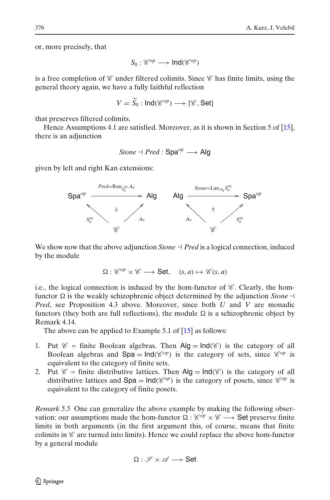or, more precisely, that

$$
S_0: \mathscr{C}^{op} \longrightarrow \text{Ind}(\mathscr{C}^{op})
$$

is a free completion of  $\mathscr C$  under filtered colimits. Since  $\mathscr C$  has finite limits, using the general theory again, we have a fully faithful reflection

$$
V = \tilde{S_0} : \mathsf{Ind}(\mathscr{C}^{op}) \longrightarrow [\mathscr{C}, \mathsf{Set}]
$$

that preserves filtered colimits.

Hence Assumptions 4.1 are satisfied. Moreover, as it is shown in Section 5 of [\[15](#page-28-0)], there is an adjunction

*Stone* 
$$
\dashv
$$
 *Pred* :  $\text{Spa}^{op} \longrightarrow \text{Alg}$ 

given by left and right Kan extensions:



We show now that the above adjunction  $Stone \dashv Pred$  is a logical connection, induced by the module

$$
\Omega: \mathscr{C}^{op} \times \mathscr{C} \longrightarrow \textbf{Set}, \quad (s, a) \mapsto \mathscr{C}(s, a)
$$

i.e., the logical connection is induced by the hom-functor of  $\mathscr C$ . Clearly, the homfunctor  $\Omega$  is the weakly schizophrenic object determined by the adjunction *Stone*  $\neg$ *Pred*, see Proposition 4.3 above. Moreover, since both *U* and *V* are monadic functors (they both are full reflections), the module  $\Omega$  is a schizophrenic object by Remark 4.14.

The above can be applied to Example 5.1 of [\[15\]](#page-28-0) as follows:

- 1. Put  $\mathscr{C}$  = finite Boolean algebras. Then Alg = lnd( $\mathscr{C}$ ) is the category of all Boolean algebras and  $Spa = Ind(\mathcal{C}^{op})$  is the category of sets, since  $\mathcal{C}^{op}$  is equivalent to the category of finite sets.
- 2. Put  $\mathscr{C}$  = finite distributive lattices. Then Alg = lnd( $\mathscr{C}$ ) is the category of all distributive lattices and  $Spa = Ind(\mathscr{C}^{op})$  is the category of posets, since  $\mathscr{C}^{op}$  is equivalent to the category of finite posets.

*Remark 5.5* One can generalize the above example by making the following observation: our assumptions made the hom-functor  $\Omega$  :  $\mathscr{C}^{op} \times \mathscr{C} \longrightarrow$  Set preserve finite limits in both arguments (in the first argument this, of course, means that finite colimits in  $\mathscr C$  are turned into limits). Hence we could replace the above hom-functor by a general module

$$
\Omega: \mathscr{S} \times \mathscr{A} \longrightarrow \mathsf{Set}
$$